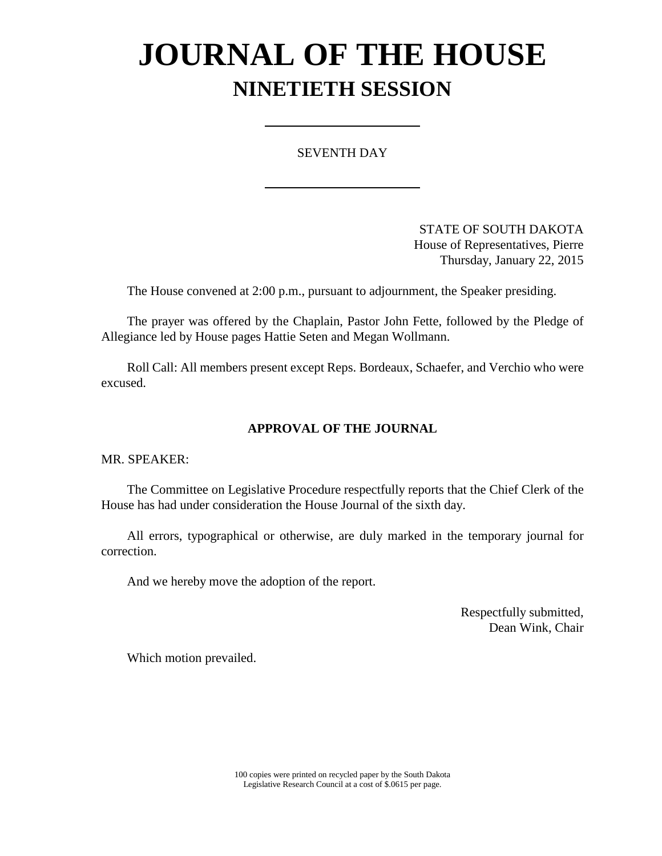# **JOURNAL OF THE HOUSE NINETIETH SESSION**

### SEVENTH DAY

STATE OF SOUTH DAKOTA House of Representatives, Pierre Thursday, January 22, 2015

The House convened at 2:00 p.m., pursuant to adjournment, the Speaker presiding.

The prayer was offered by the Chaplain, Pastor John Fette, followed by the Pledge of Allegiance led by House pages Hattie Seten and Megan Wollmann.

Roll Call: All members present except Reps. Bordeaux, Schaefer, and Verchio who were excused.

### **APPROVAL OF THE JOURNAL**

MR. SPEAKER:

The Committee on Legislative Procedure respectfully reports that the Chief Clerk of the House has had under consideration the House Journal of the sixth day.

All errors, typographical or otherwise, are duly marked in the temporary journal for correction.

And we hereby move the adoption of the report.

Respectfully submitted, Dean Wink, Chair

Which motion prevailed.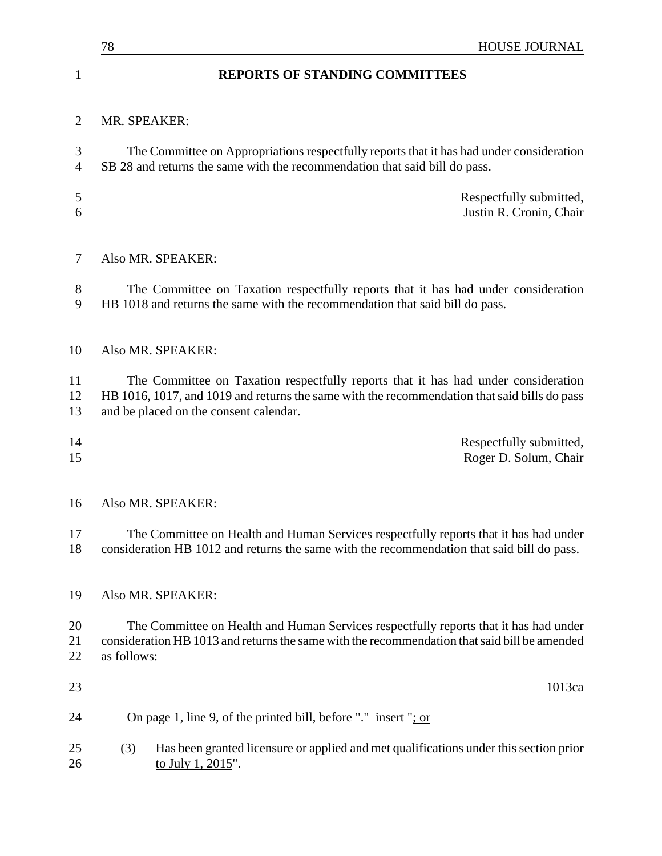|                     | <b>HOUSE JOURNAL</b><br>78                                                                                                                                                                                                   |
|---------------------|------------------------------------------------------------------------------------------------------------------------------------------------------------------------------------------------------------------------------|
| 1                   | <b>REPORTS OF STANDING COMMITTEES</b>                                                                                                                                                                                        |
| $\overline{2}$      | MR. SPEAKER:                                                                                                                                                                                                                 |
| 3<br>$\overline{4}$ | The Committee on Appropriations respectfully reports that it has had under consideration<br>SB 28 and returns the same with the recommendation that said bill do pass.                                                       |
| 5<br>6              | Respectfully submitted,<br>Justin R. Cronin, Chair                                                                                                                                                                           |
| 7                   | Also MR. SPEAKER:                                                                                                                                                                                                            |
| 8<br>9              | The Committee on Taxation respectfully reports that it has had under consideration<br>HB 1018 and returns the same with the recommendation that said bill do pass.                                                           |
| 10                  | Also MR. SPEAKER:                                                                                                                                                                                                            |
| 11<br>12<br>13      | The Committee on Taxation respectfully reports that it has had under consideration<br>HB 1016, 1017, and 1019 and returns the same with the recommendation that said bills do pass<br>and be placed on the consent calendar. |
| 14<br>15            | Respectfully submitted,<br>Roger D. Solum, Chair                                                                                                                                                                             |
| 16                  | Also MR. SPEAKER:                                                                                                                                                                                                            |
| 17<br>18            | The Committee on Health and Human Services respectfully reports that it has had under<br>consideration HB 1012 and returns the same with the recommendation that said bill do pass.                                          |
| 19                  | Also MR. SPEAKER:                                                                                                                                                                                                            |
| 20<br>21<br>22      | The Committee on Health and Human Services respectfully reports that it has had under<br>consideration HB 1013 and returns the same with the recommendation that said bill be amended<br>as follows:                         |
| 23                  | 1013ca                                                                                                                                                                                                                       |
| 24                  | On page 1, line 9, of the printed bill, before "." insert " $\frac{1}{1}$ or                                                                                                                                                 |
| 25<br>26            | Has been granted licensure or applied and met qualifications under this section prior<br>(3)<br>to July 1, 2015".                                                                                                            |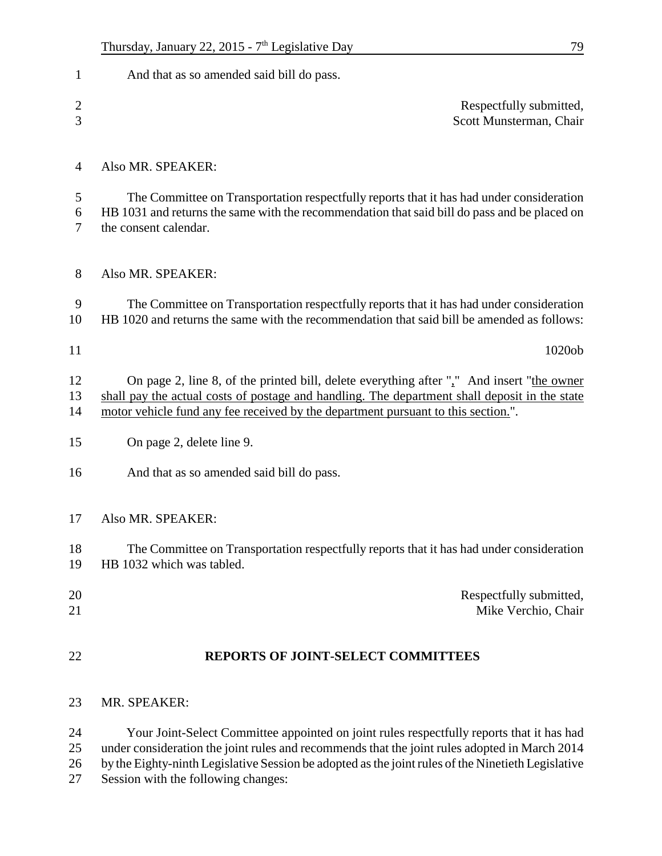| 1                   | And that as so amended said bill do pass.                                                                                                                                                                                                                                                        |
|---------------------|--------------------------------------------------------------------------------------------------------------------------------------------------------------------------------------------------------------------------------------------------------------------------------------------------|
| $\overline{c}$<br>3 | Respectfully submitted,<br>Scott Munsterman, Chair                                                                                                                                                                                                                                               |
| $\overline{4}$      | Also MR. SPEAKER:                                                                                                                                                                                                                                                                                |
| 5<br>6<br>7         | The Committee on Transportation respectfully reports that it has had under consideration<br>HB 1031 and returns the same with the recommendation that said bill do pass and be placed on<br>the consent calendar.                                                                                |
| 8                   | Also MR. SPEAKER:                                                                                                                                                                                                                                                                                |
| 9<br>10             | The Committee on Transportation respectfully reports that it has had under consideration<br>HB 1020 and returns the same with the recommendation that said bill be amended as follows:                                                                                                           |
| 11                  | 1020ob                                                                                                                                                                                                                                                                                           |
| 12<br>13<br>14      | On page 2, line 8, of the printed bill, delete everything after "," And insert "the owner<br>shall pay the actual costs of postage and handling. The department shall deposit in the state<br>motor vehicle fund any fee received by the department pursuant to this section.".                  |
| 15                  | On page 2, delete line 9.                                                                                                                                                                                                                                                                        |
| 16                  | And that as so amended said bill do pass.                                                                                                                                                                                                                                                        |
| 17                  | Also MR. SPEAKER:                                                                                                                                                                                                                                                                                |
| 18<br>19            | The Committee on Transportation respectfully reports that it has had under consideration<br>HB 1032 which was tabled.                                                                                                                                                                            |
| 20<br>21            | Respectfully submitted,<br>Mike Verchio, Chair                                                                                                                                                                                                                                                   |
| 22                  | REPORTS OF JOINT-SELECT COMMITTEES                                                                                                                                                                                                                                                               |
| 23                  | MR. SPEAKER:                                                                                                                                                                                                                                                                                     |
| 24<br>25<br>26      | Your Joint-Select Committee appointed on joint rules respectfully reports that it has had<br>under consideration the joint rules and recommends that the joint rules adopted in March 2014<br>by the Eighty-ninth Legislative Session be adopted as the joint rules of the Ninetieth Legislative |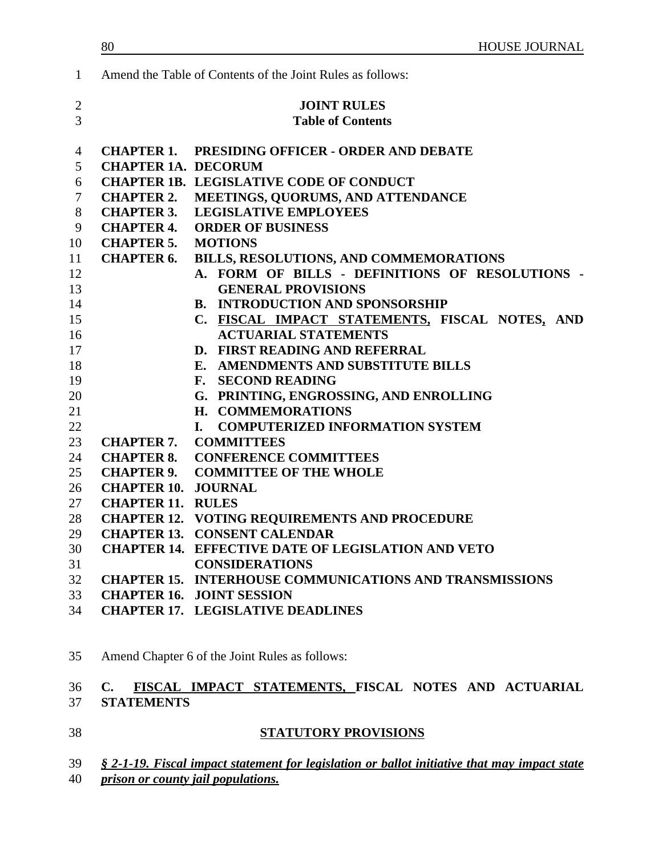| $\mathbf{1}$                     |                            | Amend the Table of Contents of the Joint Rules as follows:     |
|----------------------------------|----------------------------|----------------------------------------------------------------|
| $\overline{2}$<br>$\overline{3}$ |                            | <b>JOINT RULES</b><br><b>Table of Contents</b>                 |
| $\overline{4}$                   |                            | <b>CHAPTER 1. PRESIDING OFFICER - ORDER AND DEBATE</b>         |
| 5                                | <b>CHAPTER 1A. DECORUM</b> |                                                                |
| 6                                |                            | <b>CHAPTER 1B. LEGISLATIVE CODE OF CONDUCT</b>                 |
| $\tau$                           | <b>CHAPTER 2.</b>          | MEETINGS, QUORUMS, AND ATTENDANCE                              |
| 8                                | <b>CHAPTER 3.</b>          | <b>LEGISLATIVE EMPLOYEES</b>                                   |
| 9                                | <b>CHAPTER 4.</b>          | <b>ORDER OF BUSINESS</b>                                       |
| 10                               | <b>CHAPTER 5.</b>          | <b>MOTIONS</b>                                                 |
| 11                               | <b>CHAPTER 6.</b>          | BILLS, RESOLUTIONS, AND COMMEMORATIONS                         |
| 12                               |                            | A. FORM OF BILLS - DEFINITIONS OF RESOLUTIONS -                |
| 13                               |                            | <b>GENERAL PROVISIONS</b>                                      |
| 14                               |                            | <b>B. INTRODUCTION AND SPONSORSHIP</b>                         |
| 15                               |                            | C. FISCAL IMPACT STATEMENTS, FISCAL NOTES, AND                 |
| 16                               |                            | <b>ACTUARIAL STATEMENTS</b>                                    |
| 17                               |                            | D. FIRST READING AND REFERRAL                                  |
| 18                               |                            | E. AMENDMENTS AND SUBSTITUTE BILLS                             |
| 19                               |                            | F. SECOND READING                                              |
| 20                               |                            | G. PRINTING, ENGROSSING, AND ENROLLING                         |
| 21                               |                            | H. COMMEMORATIONS                                              |
| 22                               |                            | <b>COMPUTERIZED INFORMATION SYSTEM</b><br>L.                   |
| 23                               | <b>CHAPTER 7.</b>          | <b>COMMITTEES</b>                                              |
| 24                               |                            | <b>CHAPTER 8. CONFERENCE COMMITTEES</b>                        |
| 25                               |                            | <b>CHAPTER 9. COMMITTEE OF THE WHOLE</b>                       |
| 26                               | <b>CHAPTER 10. JOURNAL</b> |                                                                |
| 27                               | <b>CHAPTER 11. RULES</b>   |                                                                |
| 28                               |                            | <b>CHAPTER 12. VOTING REQUIREMENTS AND PROCEDURE</b>           |
| 29                               |                            | <b>CHAPTER 13. CONSENT CALENDAR</b>                            |
| 30                               |                            | <b>CHAPTER 14. EFFECTIVE DATE OF LEGISLATION AND VETO</b>      |
| 31                               |                            | <b>CONSIDERATIONS</b>                                          |
| 32                               |                            | <b>CHAPTER 15. INTERHOUSE COMMUNICATIONS AND TRANSMISSIONS</b> |
| 33                               |                            | <b>CHAPTER 16. JOINT SESSION</b>                               |
| 34                               |                            | <b>CHAPTER 17. LEGISLATIVE DEADLINES</b>                       |

# Amend Chapter 6 of the Joint Rules as follows:

### **C. FISCAL IMPACT STATEMENTS, FISCAL NOTES AND ACTUARIAL STATEMENTS**

### **STATUTORY PROVISIONS**

- *§ 2-1-19. Fiscal impact statement for legislation or ballot initiative that may impact state*
- *prison or county jail populations.*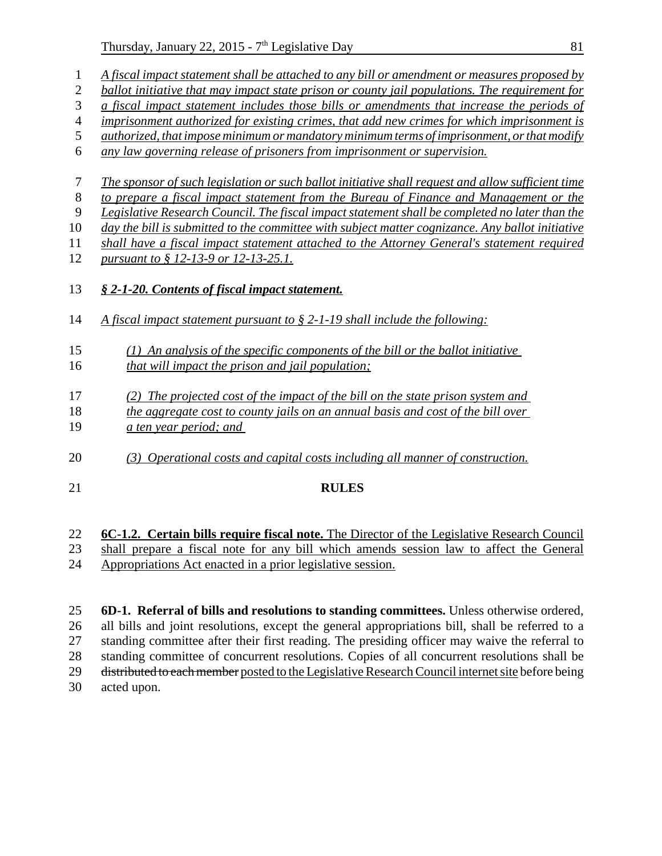Thursday, January 22, 2015 -  $7<sup>th</sup>$  Legislative Day 81

|                | $Say, yanaw, zz, zo1z \quad t.$                                                                   |
|----------------|---------------------------------------------------------------------------------------------------|
| $\mathbf{1}$   | A fiscal impact statement shall be attached to any bill or amendment or measures proposed by      |
| $\sqrt{2}$     | ballot initiative that may impact state prison or county jail populations. The requirement for    |
| 3              | a fiscal impact statement includes those bills or amendments that increase the periods of         |
| $\overline{4}$ | imprisonment authorized for existing crimes, that add new crimes for which imprisonment is        |
| $\mathfrak{S}$ | authorized, that impose minimum or mandatory minimum terms of imprisonment, or that modify        |
| 6              | any law governing release of prisoners from imprisonment or supervision.                          |
|                |                                                                                                   |
| 7              | The sponsor of such legislation or such ballot initiative shall request and allow sufficient time |
| $\,8\,$        | to prepare a fiscal impact statement from the Bureau of Finance and Management or the             |
| 9              | Legislative Research Council. The fiscal impact statement shall be completed no later than the    |
| 10             | day the bill is submitted to the committee with subject matter cognizance. Any ballot initiative  |
| 11             | shall have a fiscal impact statement attached to the Attorney General's statement required        |
| 12             | pursuant to § 12-13-9 or 12-13-25.1.                                                              |
|                |                                                                                                   |
| 13             | § 2-1-20. Contents of fiscal impact statement.                                                    |
|                |                                                                                                   |
| 14             | A fiscal impact statement pursuant to $\S 2$ -1-19 shall include the following:                   |
|                |                                                                                                   |
| 15             | $(1)$ An analysis of the specific components of the bill or the ballot initiative                 |
| 16             | that will impact the prison and jail population;                                                  |
|                |                                                                                                   |
| 17             | (2) The projected cost of the impact of the bill on the state prison system and                   |
| 18             | the aggregate cost to county jails on an annual basis and cost of the bill over                   |
| 19             | a ten year period; and                                                                            |
|                |                                                                                                   |
| 20             | (3) Operational costs and capital costs including all manner of construction.                     |
| 21             | <b>RULES</b>                                                                                      |
|                |                                                                                                   |
|                |                                                                                                   |
| 22             | 6C-1.2. Certain bills require fiscal note. The Director of the Legislative Research Council       |
|                |                                                                                                   |

# shall prepare a fiscal note for any bill which amends session law to affect the General Appropriations Act enacted in a prior legislative session.

 **6D-1. Referral of bills and resolutions to standing committees.** Unless otherwise ordered, all bills and joint resolutions, except the general appropriations bill, shall be referred to a standing committee after their first reading. The presiding officer may waive the referral to standing committee of concurrent resolutions. Copies of all concurrent resolutions shall be 29 distributed to each member posted to the Legislative Research Council internet site before being acted upon.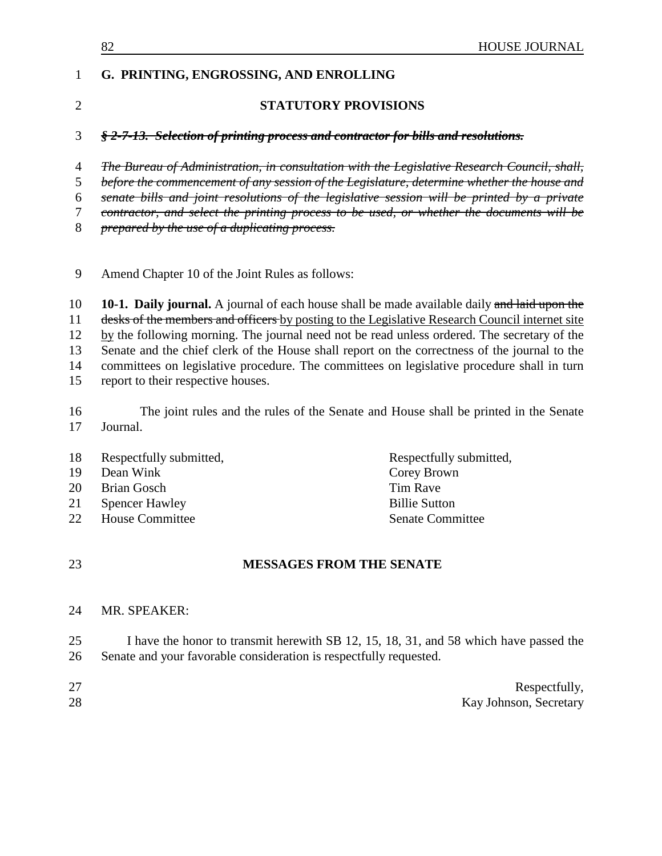| 82                                                                                             | HOUSE JOURNAL                                                                                                                                                                                                                                                                                            |  |
|------------------------------------------------------------------------------------------------|----------------------------------------------------------------------------------------------------------------------------------------------------------------------------------------------------------------------------------------------------------------------------------------------------------|--|
|                                                                                                |                                                                                                                                                                                                                                                                                                          |  |
|                                                                                                | <b>STATUTORY PROVISIONS</b>                                                                                                                                                                                                                                                                              |  |
|                                                                                                | § 2-7-13. Selection of printing process and contractor for bills and resolutions.                                                                                                                                                                                                                        |  |
|                                                                                                | The Bureau of Administration, in consultation with the Legislative Research Council, shall,                                                                                                                                                                                                              |  |
|                                                                                                | before the commencement of any session of the Legislature, determine whether the house and                                                                                                                                                                                                               |  |
|                                                                                                | senate bills and joint resolutions of the legislative session will be printed by a private                                                                                                                                                                                                               |  |
| contractor, and select the printing process to be used, or whether the documents will be       |                                                                                                                                                                                                                                                                                                          |  |
|                                                                                                |                                                                                                                                                                                                                                                                                                          |  |
|                                                                                                |                                                                                                                                                                                                                                                                                                          |  |
|                                                                                                | 10-1. Daily journal. A journal of each house shall be made available daily and laid upon the                                                                                                                                                                                                             |  |
| desks of the members and officers by posting to the Legislative Research Council internet site |                                                                                                                                                                                                                                                                                                          |  |
| by the following morning. The journal need not be read unless ordered. The secretary of the    |                                                                                                                                                                                                                                                                                                          |  |
| Senate and the chief clerk of the House shall report on the correctness of the journal to the  |                                                                                                                                                                                                                                                                                                          |  |
|                                                                                                |                                                                                                                                                                                                                                                                                                          |  |
|                                                                                                |                                                                                                                                                                                                                                                                                                          |  |
|                                                                                                | The joint rules and the rules of the Senate and House shall be printed in the Senate                                                                                                                                                                                                                     |  |
| Journal.                                                                                       |                                                                                                                                                                                                                                                                                                          |  |
| Respectfully submitted,                                                                        | Respectfully submitted,                                                                                                                                                                                                                                                                                  |  |
| Dean Wink                                                                                      | Corey Brown                                                                                                                                                                                                                                                                                              |  |
| <b>Brian Gosch</b>                                                                             | <b>Tim Rave</b>                                                                                                                                                                                                                                                                                          |  |
| <b>Spencer Hawley</b>                                                                          | <b>Billie Sutton</b>                                                                                                                                                                                                                                                                                     |  |
|                                                                                                | <b>Senate Committee</b>                                                                                                                                                                                                                                                                                  |  |
|                                                                                                | <b>MESSAGES FROM THE SENATE</b>                                                                                                                                                                                                                                                                          |  |
|                                                                                                | G. PRINTING, ENGROSSING, AND ENROLLING<br>prepared by the use of a duplicating process.<br>Amend Chapter 10 of the Joint Rules as follows:<br>committees on legislative procedure. The committees on legislative procedure shall in turn<br>report to their respective houses.<br><b>House Committee</b> |  |

MR. SPEAKER:

25 I have the honor to transmit herewith SB 12, 15, 18, 31, and 58 which have passed the 26 Senate and your favorable consideration is respectfully requested. Senate and your favorable consideration is respectfully requested.

| 27 | Respectfully,          |
|----|------------------------|
| 28 | Kay Johnson, Secretary |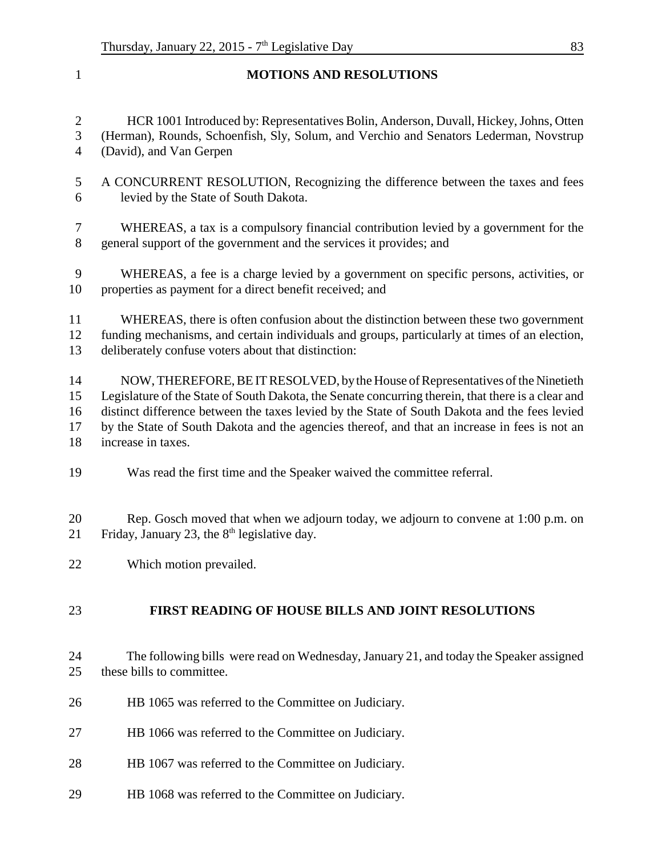**MOTIONS AND RESOLUTIONS** HCR 1001 Introduced by: Representatives Bolin, Anderson, Duvall, Hickey, Johns, Otten (Herman), Rounds, Schoenfish, Sly, Solum, and Verchio and Senators Lederman, Novstrup (David), and Van Gerpen A CONCURRENT RESOLUTION, Recognizing the difference between the taxes and fees levied by the State of South Dakota. WHEREAS, a tax is a compulsory financial contribution levied by a government for the general support of the government and the services it provides; and WHEREAS, a fee is a charge levied by a government on specific persons, activities, or properties as payment for a direct benefit received; and WHEREAS, there is often confusion about the distinction between these two government funding mechanisms, and certain individuals and groups, particularly at times of an election, deliberately confuse voters about that distinction: NOW, THEREFORE, BE IT RESOLVED, by the House of Representatives of the Ninetieth Legislature of the State of South Dakota, the Senate concurring therein, that there is a clear and distinct difference between the taxes levied by the State of South Dakota and the fees levied by the State of South Dakota and the agencies thereof, and that an increase in fees is not an increase in taxes. Was read the first time and the Speaker waived the committee referral. Rep. Gosch moved that when we adjourn today, we adjourn to convene at 1:00 p.m. on 21 Friday, January 23, the  $8<sup>th</sup>$  legislative day. Which motion prevailed. **FIRST READING OF HOUSE BILLS AND JOINT RESOLUTIONS** The following bills were read on Wednesday, January 21, and today the Speaker assigned these bills to committee. HB 1065 was referred to the Committee on Judiciary. HB 1066 was referred to the Committee on Judiciary. HB 1067 was referred to the Committee on Judiciary.

HB 1068 was referred to the Committee on Judiciary.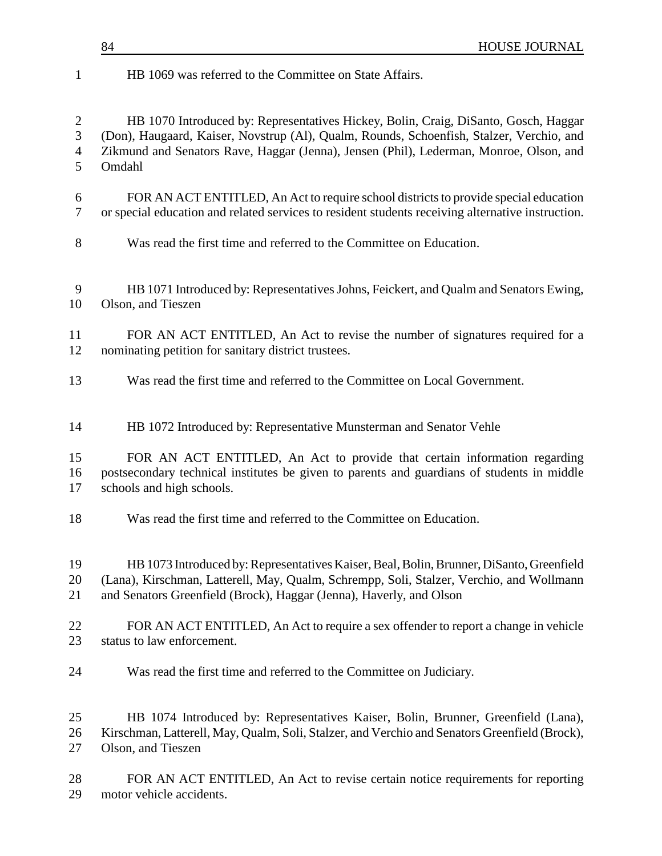# HB 1069 was referred to the Committee on State Affairs. HB 1070 Introduced by: Representatives Hickey, Bolin, Craig, DiSanto, Gosch, Haggar (Don), Haugaard, Kaiser, Novstrup (Al), Qualm, Rounds, Schoenfish, Stalzer, Verchio, and Zikmund and Senators Rave, Haggar (Jenna), Jensen (Phil), Lederman, Monroe, Olson, and Omdahl FOR AN ACT ENTITLED, An Act to require school districts to provide special education or special education and related services to resident students receiving alternative instruction. Was read the first time and referred to the Committee on Education. HB 1071 Introduced by: Representatives Johns, Feickert, and Qualm and Senators Ewing, Olson, and Tieszen FOR AN ACT ENTITLED, An Act to revise the number of signatures required for a nominating petition for sanitary district trustees. Was read the first time and referred to the Committee on Local Government. HB 1072 Introduced by: Representative Munsterman and Senator Vehle FOR AN ACT ENTITLED, An Act to provide that certain information regarding postsecondary technical institutes be given to parents and guardians of students in middle schools and high schools. Was read the first time and referred to the Committee on Education. HB 1073 Introduced by: Representatives Kaiser, Beal, Bolin, Brunner, DiSanto, Greenfield (Lana), Kirschman, Latterell, May, Qualm, Schrempp, Soli, Stalzer, Verchio, and Wollmann and Senators Greenfield (Brock), Haggar (Jenna), Haverly, and Olson FOR AN ACT ENTITLED, An Act to require a sex offender to report a change in vehicle status to law enforcement. Was read the first time and referred to the Committee on Judiciary. HB 1074 Introduced by: Representatives Kaiser, Bolin, Brunner, Greenfield (Lana), Kirschman, Latterell, May, Qualm, Soli, Stalzer, and Verchio and Senators Greenfield (Brock), Olson, and Tieszen FOR AN ACT ENTITLED, An Act to revise certain notice requirements for reporting motor vehicle accidents.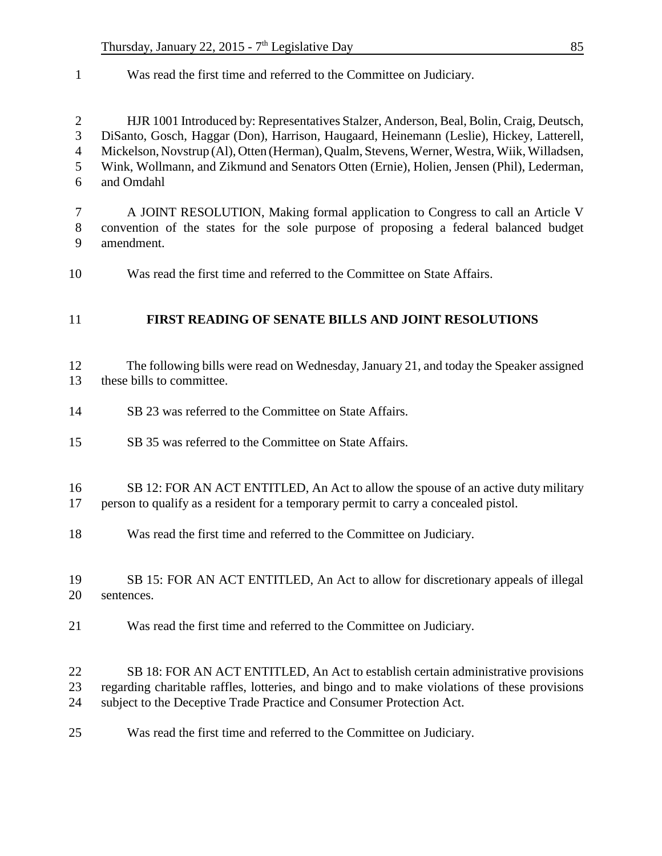Was read the first time and referred to the Committee on Judiciary.

 HJR 1001 Introduced by: Representatives Stalzer, Anderson, Beal, Bolin, Craig, Deutsch, DiSanto, Gosch, Haggar (Don), Harrison, Haugaard, Heinemann (Leslie), Hickey, Latterell, Mickelson, Novstrup (Al), Otten (Herman), Qualm, Stevens, Werner, Westra, Wiik, Willadsen, Wink, Wollmann, and Zikmund and Senators Otten (Ernie), Holien, Jensen (Phil), Lederman, and Omdahl

- A JOINT RESOLUTION, Making formal application to Congress to call an Article V convention of the states for the sole purpose of proposing a federal balanced budget amendment.
- Was read the first time and referred to the Committee on State Affairs.

### **FIRST READING OF SENATE BILLS AND JOINT RESOLUTIONS**

 The following bills were read on Wednesday, January 21, and today the Speaker assigned these bills to committee.

- SB 23 was referred to the Committee on State Affairs.
- SB 35 was referred to the Committee on State Affairs.

## SB 12: FOR AN ACT ENTITLED, An Act to allow the spouse of an active duty military

- person to qualify as a resident for a temporary permit to carry a concealed pistol.
- Was read the first time and referred to the Committee on Judiciary.
- SB 15: FOR AN ACT ENTITLED, An Act to allow for discretionary appeals of illegal sentences.
- Was read the first time and referred to the Committee on Judiciary.
- SB 18: FOR AN ACT ENTITLED, An Act to establish certain administrative provisions regarding charitable raffles, lotteries, and bingo and to make violations of these provisions subject to the Deceptive Trade Practice and Consumer Protection Act.
- Was read the first time and referred to the Committee on Judiciary.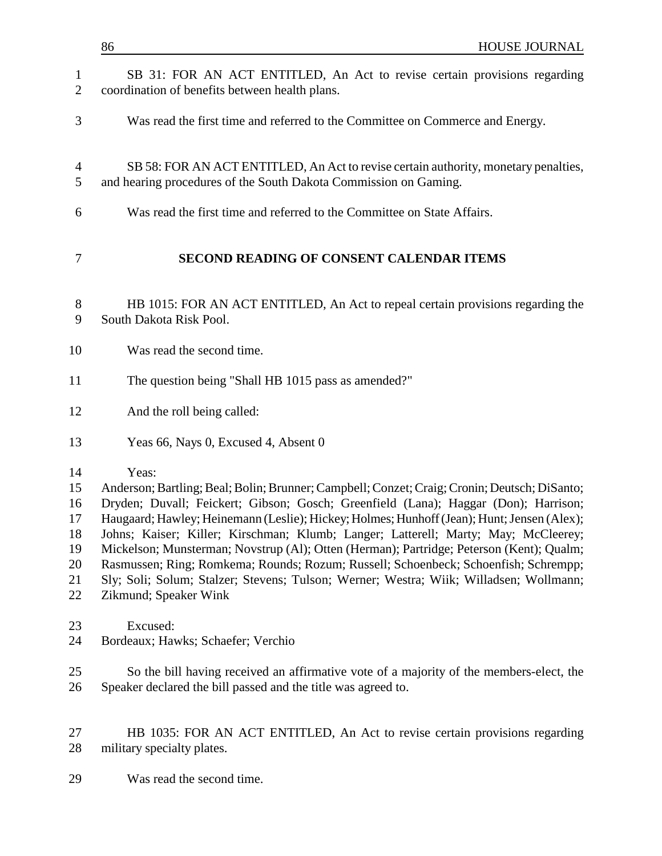|                                                    | 86<br><b>HOUSE JOURNAL</b>                                                                                                                                                                                                                                                                                                                                                                                                                                                                                                                                                                                                                                                             |
|----------------------------------------------------|----------------------------------------------------------------------------------------------------------------------------------------------------------------------------------------------------------------------------------------------------------------------------------------------------------------------------------------------------------------------------------------------------------------------------------------------------------------------------------------------------------------------------------------------------------------------------------------------------------------------------------------------------------------------------------------|
| 1<br>$\overline{2}$                                | SB 31: FOR AN ACT ENTITLED, An Act to revise certain provisions regarding<br>coordination of benefits between health plans.                                                                                                                                                                                                                                                                                                                                                                                                                                                                                                                                                            |
| 3                                                  | Was read the first time and referred to the Committee on Commerce and Energy.                                                                                                                                                                                                                                                                                                                                                                                                                                                                                                                                                                                                          |
| $\overline{4}$<br>5                                | SB 58: FOR AN ACT ENTITLED, An Act to revise certain authority, monetary penalties,<br>and hearing procedures of the South Dakota Commission on Gaming.                                                                                                                                                                                                                                                                                                                                                                                                                                                                                                                                |
| 6                                                  | Was read the first time and referred to the Committee on State Affairs.                                                                                                                                                                                                                                                                                                                                                                                                                                                                                                                                                                                                                |
| 7                                                  | <b>SECOND READING OF CONSENT CALENDAR ITEMS</b>                                                                                                                                                                                                                                                                                                                                                                                                                                                                                                                                                                                                                                        |
| $8\,$<br>9                                         | HB 1015: FOR AN ACT ENTITLED, An Act to repeal certain provisions regarding the<br>South Dakota Risk Pool.                                                                                                                                                                                                                                                                                                                                                                                                                                                                                                                                                                             |
| 10                                                 | Was read the second time.                                                                                                                                                                                                                                                                                                                                                                                                                                                                                                                                                                                                                                                              |
| 11                                                 | The question being "Shall HB 1015 pass as amended?"                                                                                                                                                                                                                                                                                                                                                                                                                                                                                                                                                                                                                                    |
| 12                                                 | And the roll being called:                                                                                                                                                                                                                                                                                                                                                                                                                                                                                                                                                                                                                                                             |
| 13                                                 | Yeas 66, Nays 0, Excused 4, Absent 0                                                                                                                                                                                                                                                                                                                                                                                                                                                                                                                                                                                                                                                   |
| 14<br>15<br>16<br>17<br>18<br>19<br>20<br>21<br>22 | Yeas:<br>Anderson; Bartling; Beal; Bolin; Brunner; Campbell; Conzet; Craig; Cronin; Deutsch; DiSanto;<br>Dryden; Duvall; Feickert; Gibson; Gosch; Greenfield (Lana); Haggar (Don); Harrison;<br>Haugaard; Hawley; Heinemann (Leslie); Hickey; Holmes; Hunhoff (Jean); Hunt; Jensen (Alex);<br>Johns; Kaiser; Killer; Kirschman; Klumb; Langer; Latterell; Marty; May; McCleerey;<br>Mickelson; Munsterman; Novstrup (Al); Otten (Herman); Partridge; Peterson (Kent); Qualm;<br>Rasmussen; Ring; Romkema; Rounds; Rozum; Russell; Schoenbeck; Schoenfish; Schrempp;<br>Sly; Soli; Solum; Stalzer; Stevens; Tulson; Werner; Westra; Wiik; Willadsen; Wollmann;<br>Zikmund; Speaker Wink |
| 23<br>24                                           | Excused:<br>Bordeaux; Hawks; Schaefer; Verchio                                                                                                                                                                                                                                                                                                                                                                                                                                                                                                                                                                                                                                         |
| 25<br>26                                           | So the bill having received an affirmative vote of a majority of the members-elect, the<br>Speaker declared the bill passed and the title was agreed to.                                                                                                                                                                                                                                                                                                                                                                                                                                                                                                                               |
| 27<br>28                                           | HB 1035: FOR AN ACT ENTITLED, An Act to revise certain provisions regarding<br>military specialty plates.                                                                                                                                                                                                                                                                                                                                                                                                                                                                                                                                                                              |
| 29                                                 | Was read the second time.                                                                                                                                                                                                                                                                                                                                                                                                                                                                                                                                                                                                                                                              |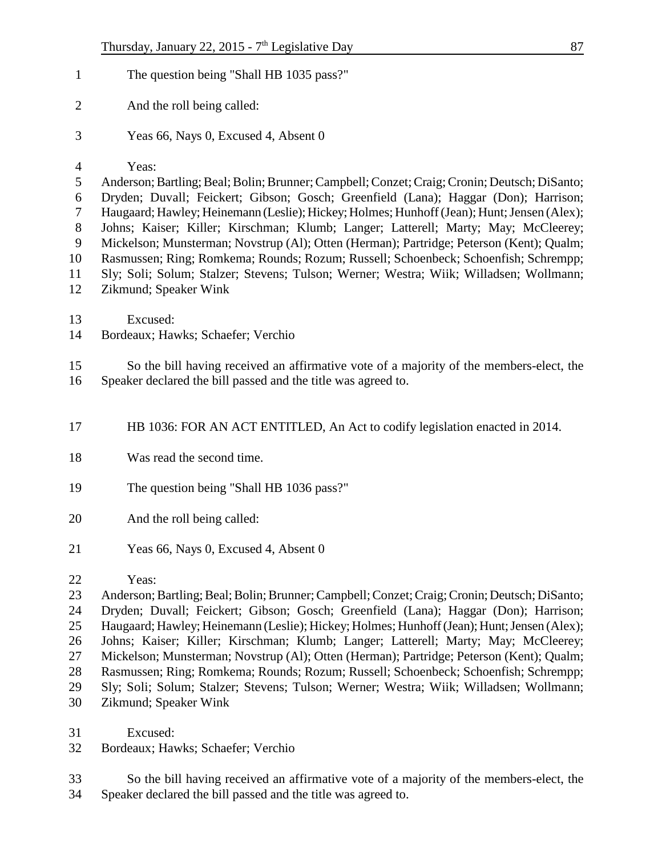- 1 The question being "Shall HB 1035 pass?"
- And the roll being called:
- Yeas 66, Nays 0, Excused 4, Absent 0

#### Yeas:

 Anderson; Bartling; Beal; Bolin; Brunner; Campbell; Conzet; Craig; Cronin; Deutsch; DiSanto; Dryden; Duvall; Feickert; Gibson; Gosch; Greenfield (Lana); Haggar (Don); Harrison; Haugaard; Hawley; Heinemann (Leslie); Hickey; Holmes; Hunhoff (Jean); Hunt; Jensen (Alex); Johns; Kaiser; Killer; Kirschman; Klumb; Langer; Latterell; Marty; May; McCleerey;

 Mickelson; Munsterman; Novstrup (Al); Otten (Herman); Partridge; Peterson (Kent); Qualm; Rasmussen; Ring; Romkema; Rounds; Rozum; Russell; Schoenbeck; Schoenfish; Schrempp;

Sly; Soli; Solum; Stalzer; Stevens; Tulson; Werner; Westra; Wiik; Willadsen; Wollmann;

- Zikmund; Speaker Wink
- Excused:
- Bordeaux; Hawks; Schaefer; Verchio

 So the bill having received an affirmative vote of a majority of the members-elect, the Speaker declared the bill passed and the title was agreed to.

HB 1036: FOR AN ACT ENTITLED, An Act to codify legislation enacted in 2014.

- Was read the second time.
- The question being "Shall HB 1036 pass?"
- And the roll being called:
- Yeas 66, Nays 0, Excused 4, Absent 0

Yeas:

 Anderson; Bartling; Beal; Bolin; Brunner; Campbell; Conzet; Craig; Cronin; Deutsch; DiSanto; Dryden; Duvall; Feickert; Gibson; Gosch; Greenfield (Lana); Haggar (Don); Harrison; Haugaard; Hawley; Heinemann (Leslie); Hickey; Holmes; Hunhoff (Jean); Hunt; Jensen (Alex); Johns; Kaiser; Killer; Kirschman; Klumb; Langer; Latterell; Marty; May; McCleerey; Mickelson; Munsterman; Novstrup (Al); Otten (Herman); Partridge; Peterson (Kent); Qualm; Rasmussen; Ring; Romkema; Rounds; Rozum; Russell; Schoenbeck; Schoenfish; Schrempp; Sly; Soli; Solum; Stalzer; Stevens; Tulson; Werner; Westra; Wiik; Willadsen; Wollmann;

- Zikmund; Speaker Wink
- Excused:
- Bordeaux; Hawks; Schaefer; Verchio
- So the bill having received an affirmative vote of a majority of the members-elect, the Speaker declared the bill passed and the title was agreed to.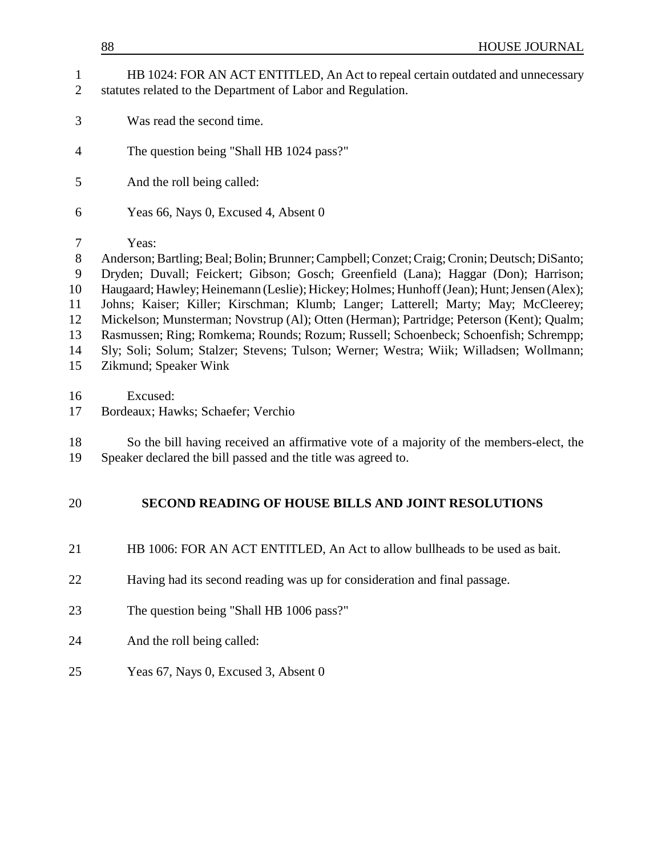- Was read the second time.
- The question being "Shall HB 1024 pass?"
- And the roll being called:
- Yeas 66, Nays 0, Excused 4, Absent 0
- Yeas:

 Anderson; Bartling; Beal; Bolin; Brunner; Campbell; Conzet; Craig; Cronin; Deutsch; DiSanto; Dryden; Duvall; Feickert; Gibson; Gosch; Greenfield (Lana); Haggar (Don); Harrison; Haugaard; Hawley; Heinemann (Leslie); Hickey; Holmes; Hunhoff (Jean); Hunt; Jensen (Alex); Johns; Kaiser; Killer; Kirschman; Klumb; Langer; Latterell; Marty; May; McCleerey; Mickelson; Munsterman; Novstrup (Al); Otten (Herman); Partridge; Peterson (Kent); Qualm; Rasmussen; Ring; Romkema; Rounds; Rozum; Russell; Schoenbeck; Schoenfish; Schrempp; Sly; Soli; Solum; Stalzer; Stevens; Tulson; Werner; Westra; Wiik; Willadsen; Wollmann; Zikmund; Speaker Wink

Excused:

Bordeaux; Hawks; Schaefer; Verchio

 So the bill having received an affirmative vote of a majority of the members-elect, the Speaker declared the bill passed and the title was agreed to.

### **SECOND READING OF HOUSE BILLS AND JOINT RESOLUTIONS**

- HB 1006: FOR AN ACT ENTITLED, An Act to allow bullheads to be used as bait.
- Having had its second reading was up for consideration and final passage.
- The question being "Shall HB 1006 pass?"
- And the roll being called:
- Yeas 67, Nays 0, Excused 3, Absent 0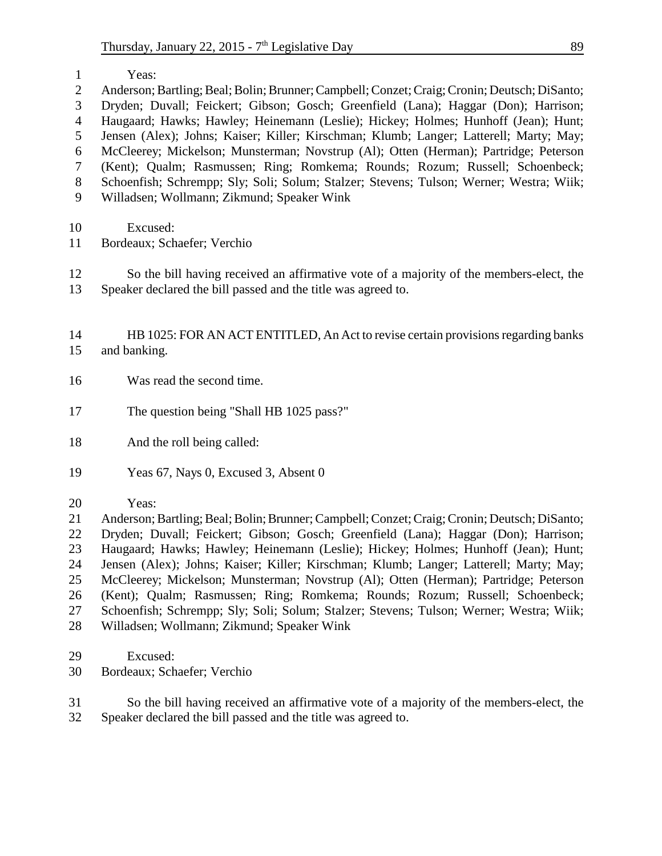|    | Yeas:                                                                                        |
|----|----------------------------------------------------------------------------------------------|
| 2  | Anderson; Bartling; Beal; Bolin; Brunner; Campbell; Conzet; Craig; Cronin; Deutsch; DiSanto; |
| 3  | Dryden; Duvall; Feickert; Gibson; Gosch; Greenfield (Lana); Haggar (Don); Harrison;          |
| 4  | Haugaard; Hawks; Hawley; Heinemann (Leslie); Hickey; Holmes; Hunhoff (Jean); Hunt;           |
| 5  | Jensen (Alex); Johns; Kaiser; Killer; Kirschman; Klumb; Langer; Latterell; Marty; May;       |
| 6  | McCleerey; Mickelson; Munsterman; Novstrup (Al); Otten (Herman); Partridge; Peterson         |
|    | (Kent); Qualm; Rasmussen; Ring; Romkema; Rounds; Rozum; Russell; Schoenbeck;                 |
| 8  | Schoenfish; Schrempp; Sly; Soli; Solum; Stalzer; Stevens; Tulson; Werner; Westra; Wiik;      |
| 9  | Willadsen; Wollmann; Zikmund; Speaker Wink                                                   |
|    |                                                                                              |
| 10 | Excused:                                                                                     |
| 11 | Bordeaux; Schaefer; Verchio                                                                  |

 So the bill having received an affirmative vote of a majority of the members-elect, the Speaker declared the bill passed and the title was agreed to.

 HB 1025: FOR AN ACT ENTITLED, An Act to revise certain provisions regarding banks and banking.

- Was read the second time.
- 17 The question being "Shall HB 1025 pass?"
- And the roll being called:
- Yeas 67, Nays 0, Excused 3, Absent 0
- Yeas:

 Anderson; Bartling; Beal; Bolin; Brunner; Campbell; Conzet; Craig; Cronin; Deutsch; DiSanto; Dryden; Duvall; Feickert; Gibson; Gosch; Greenfield (Lana); Haggar (Don); Harrison; Haugaard; Hawks; Hawley; Heinemann (Leslie); Hickey; Holmes; Hunhoff (Jean); Hunt; Jensen (Alex); Johns; Kaiser; Killer; Kirschman; Klumb; Langer; Latterell; Marty; May; McCleerey; Mickelson; Munsterman; Novstrup (Al); Otten (Herman); Partridge; Peterson (Kent); Qualm; Rasmussen; Ring; Romkema; Rounds; Rozum; Russell; Schoenbeck; Schoenfish; Schrempp; Sly; Soli; Solum; Stalzer; Stevens; Tulson; Werner; Westra; Wiik; Willadsen; Wollmann; Zikmund; Speaker Wink

- Excused:
- Bordeaux; Schaefer; Verchio

 So the bill having received an affirmative vote of a majority of the members-elect, the Speaker declared the bill passed and the title was agreed to.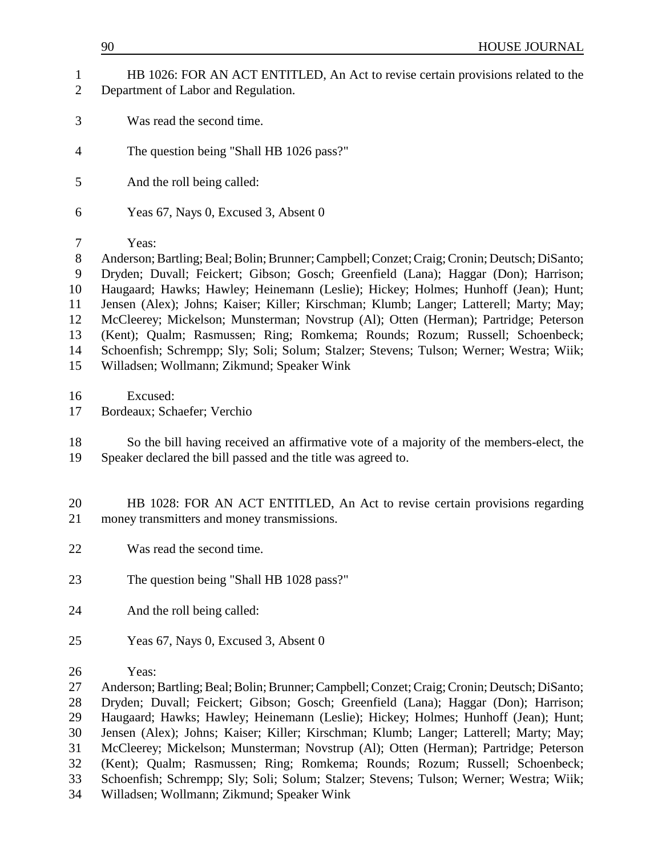- HB 1026: FOR AN ACT ENTITLED, An Act to revise certain provisions related to the Department of Labor and Regulation.
- Was read the second time.
- The question being "Shall HB 1026 pass?"
- And the roll being called:
- Yeas 67, Nays 0, Excused 3, Absent 0
- Yeas:

 Anderson; Bartling; Beal; Bolin; Brunner; Campbell; Conzet; Craig; Cronin; Deutsch; DiSanto; Dryden; Duvall; Feickert; Gibson; Gosch; Greenfield (Lana); Haggar (Don); Harrison; Haugaard; Hawks; Hawley; Heinemann (Leslie); Hickey; Holmes; Hunhoff (Jean); Hunt; Jensen (Alex); Johns; Kaiser; Killer; Kirschman; Klumb; Langer; Latterell; Marty; May; McCleerey; Mickelson; Munsterman; Novstrup (Al); Otten (Herman); Partridge; Peterson (Kent); Qualm; Rasmussen; Ring; Romkema; Rounds; Rozum; Russell; Schoenbeck; Schoenfish; Schrempp; Sly; Soli; Solum; Stalzer; Stevens; Tulson; Werner; Westra; Wiik; Willadsen; Wollmann; Zikmund; Speaker Wink

Excused:

Bordeaux; Schaefer; Verchio

 So the bill having received an affirmative vote of a majority of the members-elect, the Speaker declared the bill passed and the title was agreed to.

- HB 1028: FOR AN ACT ENTITLED, An Act to revise certain provisions regarding money transmitters and money transmissions.
- Was read the second time.
- The question being "Shall HB 1028 pass?"
- And the roll being called:
- Yeas 67, Nays 0, Excused 3, Absent 0
- Yeas:

 Anderson; Bartling; Beal; Bolin; Brunner; Campbell; Conzet; Craig; Cronin; Deutsch; DiSanto; Dryden; Duvall; Feickert; Gibson; Gosch; Greenfield (Lana); Haggar (Don); Harrison; Haugaard; Hawks; Hawley; Heinemann (Leslie); Hickey; Holmes; Hunhoff (Jean); Hunt; Jensen (Alex); Johns; Kaiser; Killer; Kirschman; Klumb; Langer; Latterell; Marty; May; McCleerey; Mickelson; Munsterman; Novstrup (Al); Otten (Herman); Partridge; Peterson (Kent); Qualm; Rasmussen; Ring; Romkema; Rounds; Rozum; Russell; Schoenbeck; Schoenfish; Schrempp; Sly; Soli; Solum; Stalzer; Stevens; Tulson; Werner; Westra; Wiik; Willadsen; Wollmann; Zikmund; Speaker Wink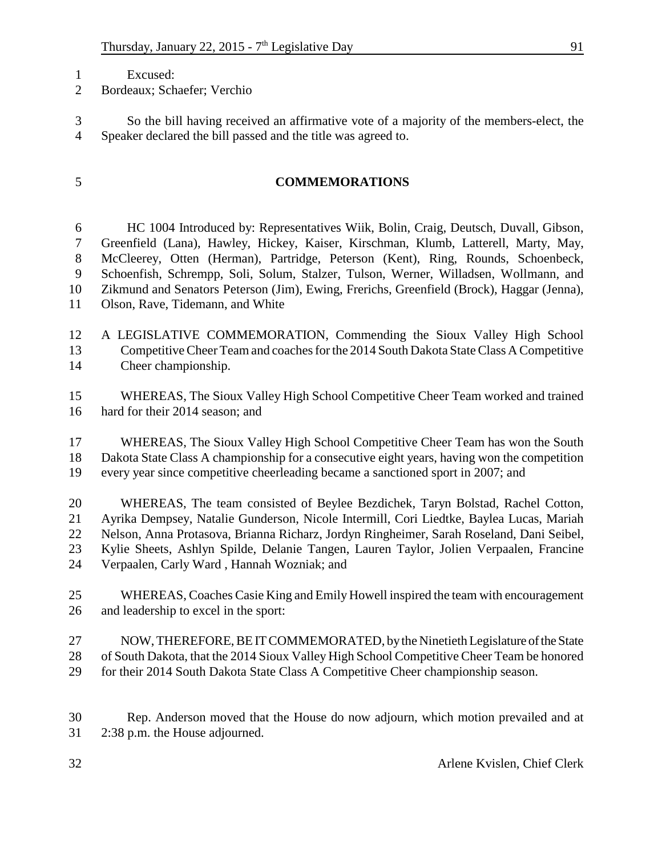- Excused:
- Bordeaux; Schaefer; Verchio

 So the bill having received an affirmative vote of a majority of the members-elect, the Speaker declared the bill passed and the title was agreed to.

### **COMMEMORATIONS**

 HC 1004 Introduced by: Representatives Wiik, Bolin, Craig, Deutsch, Duvall, Gibson, Greenfield (Lana), Hawley, Hickey, Kaiser, Kirschman, Klumb, Latterell, Marty, May, McCleerey, Otten (Herman), Partridge, Peterson (Kent), Ring, Rounds, Schoenbeck, Schoenfish, Schrempp, Soli, Solum, Stalzer, Tulson, Werner, Willadsen, Wollmann, and Zikmund and Senators Peterson (Jim), Ewing, Frerichs, Greenfield (Brock), Haggar (Jenna), Olson, Rave, Tidemann, and White

- A LEGISLATIVE COMMEMORATION, Commending the Sioux Valley High School Competitive Cheer Team and coaches for the 2014 South Dakota State Class A Competitive Cheer championship.
- WHEREAS, The Sioux Valley High School Competitive Cheer Team worked and trained hard for their 2014 season; and
- WHEREAS, The Sioux Valley High School Competitive Cheer Team has won the South Dakota State Class A championship for a consecutive eight years, having won the competition every year since competitive cheerleading became a sanctioned sport in 2007; and
- WHEREAS, The team consisted of Beylee Bezdichek, Taryn Bolstad, Rachel Cotton, Ayrika Dempsey, Natalie Gunderson, Nicole Intermill, Cori Liedtke, Baylea Lucas, Mariah Nelson, Anna Protasova, Brianna Richarz, Jordyn Ringheimer, Sarah Roseland, Dani Seibel, Kylie Sheets, Ashlyn Spilde, Delanie Tangen, Lauren Taylor, Jolien Verpaalen, Francine Verpaalen, Carly Ward , Hannah Wozniak; and
- WHEREAS, Coaches Casie King and Emily Howell inspired the team with encouragement and leadership to excel in the sport:
- NOW, THEREFORE, BE IT COMMEMORATED, by the Ninetieth Legislature of the State of South Dakota, that the 2014 Sioux Valley High School Competitive Cheer Team be honored for their 2014 South Dakota State Class A Competitive Cheer championship season.
- Rep. Anderson moved that the House do now adjourn, which motion prevailed and at 2:38 p.m. the House adjourned.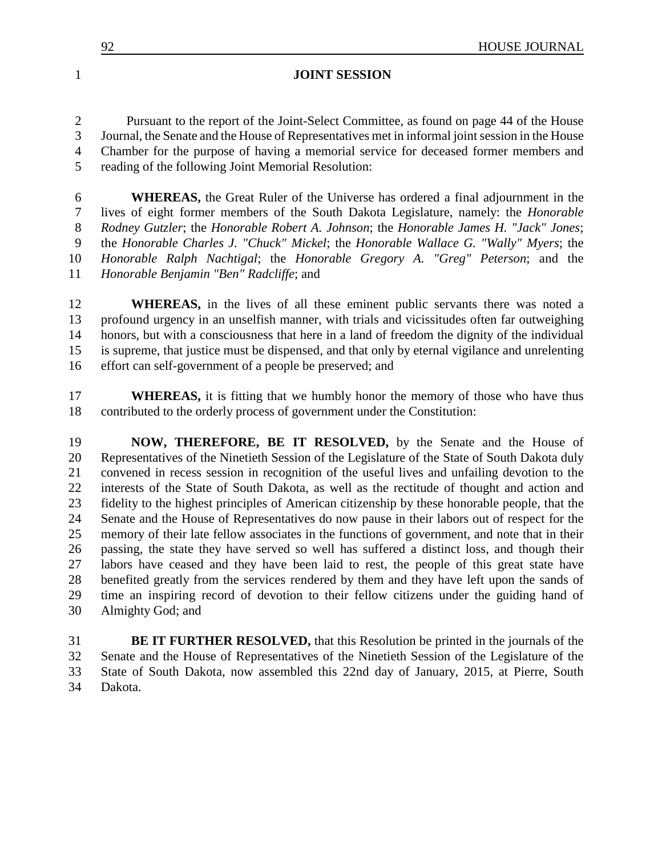| ∩∩ | <b>HOUSE JOURNAL</b> |
|----|----------------------|
|    |                      |

#### **JOINT SESSION**

 Pursuant to the report of the Joint-Select Committee, as found on page 44 of the House Journal, the Senate and the House of Representatives met in informal joint session in the House Chamber for the purpose of having a memorial service for deceased former members and reading of the following Joint Memorial Resolution:

 **WHEREAS,** the Great Ruler of the Universe has ordered a final adjournment in the lives of eight former members of the South Dakota Legislature, namely: the *Honorable Rodney Gutzler*; the *Honorable Robert A. Johnson*; the *Honorable James H. "Jack" Jones*; the *Honorable Charles J. "Chuck" Mickel*; the *Honorable Wallace G. "Wally" Myers*; the *Honorable Ralph Nachtigal*; the *Honorable Gregory A. "Greg" Peterson*; and the *Honorable Benjamin "Ben" Radcliffe*; and

**WHEREAS**, in the lives of all these eminent public servants there was noted a profound urgency in an unselfish manner, with trials and vicissitudes often far outweighing honors, but with a consciousness that here in a land of freedom the dignity of the individual is supreme, that justice must be dispensed, and that only by eternal vigilance and unrelenting effort can self-government of a people be preserved; and

**WHEREAS**, it is fitting that we humbly honor the memory of those who have thus contributed to the orderly process of government under the Constitution:

 **NOW, THEREFORE, BE IT RESOLVED,** by the Senate and the House of Representatives of the Ninetieth Session of the Legislature of the State of South Dakota duly convened in recess session in recognition of the useful lives and unfailing devotion to the interests of the State of South Dakota, as well as the rectitude of thought and action and fidelity to the highest principles of American citizenship by these honorable people, that the Senate and the House of Representatives do now pause in their labors out of respect for the memory of their late fellow associates in the functions of government, and note that in their passing, the state they have served so well has suffered a distinct loss, and though their labors have ceased and they have been laid to rest, the people of this great state have benefited greatly from the services rendered by them and they have left upon the sands of time an inspiring record of devotion to their fellow citizens under the guiding hand of Almighty God; and

 **BE IT FURTHER RESOLVED,** that this Resolution be printed in the journals of the Senate and the House of Representatives of the Ninetieth Session of the Legislature of the State of South Dakota, now assembled this 22nd day of January, 2015, at Pierre, South Dakota.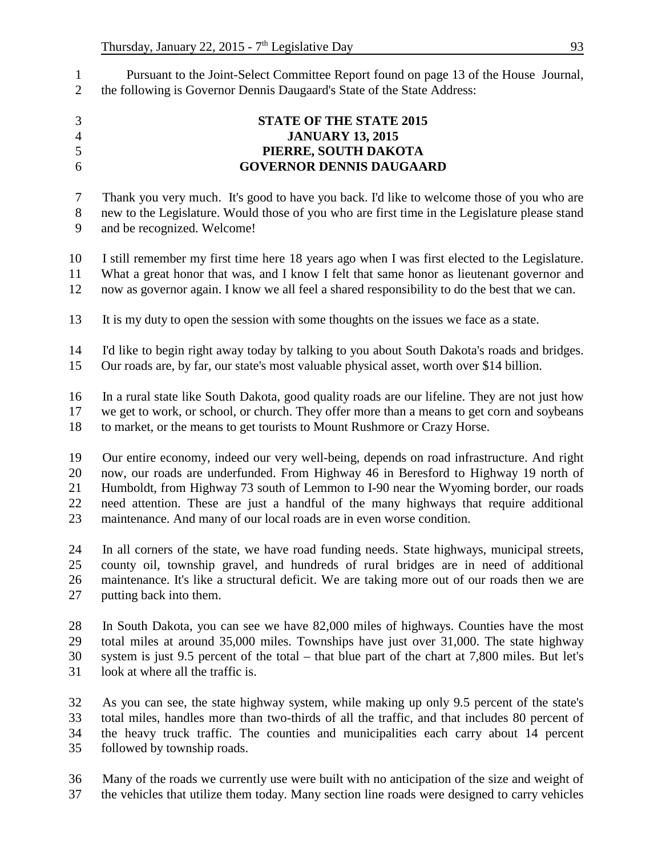Pursuant to the Joint-Select Committee Report found on page 13 of the House Journal, the following is Governor Dennis Daugaard's State of the State Address:

| $\mathfrak{Z}$ | <b>STATE OF THE STATE 2015</b>                                                                  |
|----------------|-------------------------------------------------------------------------------------------------|
| $\overline{4}$ | <b>JANUARY 13, 2015</b>                                                                         |
| 5              | PIERRE, SOUTH DAKOTA                                                                            |
| 6              | <b>GOVERNOR DENNIS DAUGAARD</b>                                                                 |
| $\tau$         | Thank you very much. It's good to have you back. I'd like to welcome those of you who are       |
| $8\,$          | new to the Legislature. Would those of you who are first time in the Legislature please stand   |
| 9              | and be recognized. Welcome!                                                                     |
| 10             | I still remember my first time here 18 years ago when I was first elected to the Legislature.   |
| 11             | What a great honor that was, and I know I felt that same honor as lieutenant governor and       |
| 12             | now as governor again. I know we all feel a shared responsibility to do the best that we can.   |
| 13             | It is my duty to open the session with some thoughts on the issues we face as a state.          |
| 14             | I'd like to begin right away today by talking to you about South Dakota's roads and bridges.    |
| 15             | Our roads are, by far, our state's most valuable physical asset, worth over \$14 billion.       |
| 16             | In a rural state like South Dakota, good quality roads are our lifeline. They are not just how  |
| 17             | we get to work, or school, or church. They offer more than a means to get corn and soybeans     |
| 18             | to market, or the means to get tourists to Mount Rushmore or Crazy Horse.                       |
| 19             | Our entire economy, indeed our very well-being, depends on road infrastructure. And right       |
| 20             | now, our roads are underfunded. From Highway 46 in Beresford to Highway 19 north of             |
| 21             | Humboldt, from Highway 73 south of Lemmon to I-90 near the Wyoming border, our roads            |
| 22             | need attention. These are just a handful of the many highways that require additional           |
| 23             | maintenance. And many of our local roads are in even worse condition.                           |
| 24             | In all corners of the state, we have road funding needs. State highways, municipal streets,     |
| 25             | county oil, township gravel, and hundreds of rural bridges are in need of additional            |
| 26             | maintenance. It's like a structural deficit. We are taking more out of our roads then we are    |
| 27             | putting back into them.                                                                         |
| 28             | In South Dakota, you can see we have 82,000 miles of highways. Counties have the most           |
| 29             | total miles at around 35,000 miles. Townships have just over 31,000. The state highway          |
| 30             | system is just 9.5 percent of the total – that blue part of the chart at 7,800 miles. But let's |
| 31             | look at where all the traffic is.                                                               |
| 32             | As you can see, the state highway system, while making up only 9.5 percent of the state's       |
| 33             | total miles, handles more than two-thirds of all the traffic, and that includes 80 percent of   |
| 34             | the heavy truck traffic. The counties and municipalities each carry about 14 percent            |
| 35             | followed by township roads.                                                                     |

 Many of the roads we currently use were built with no anticipation of the size and weight of the vehicles that utilize them today. Many section line roads were designed to carry vehicles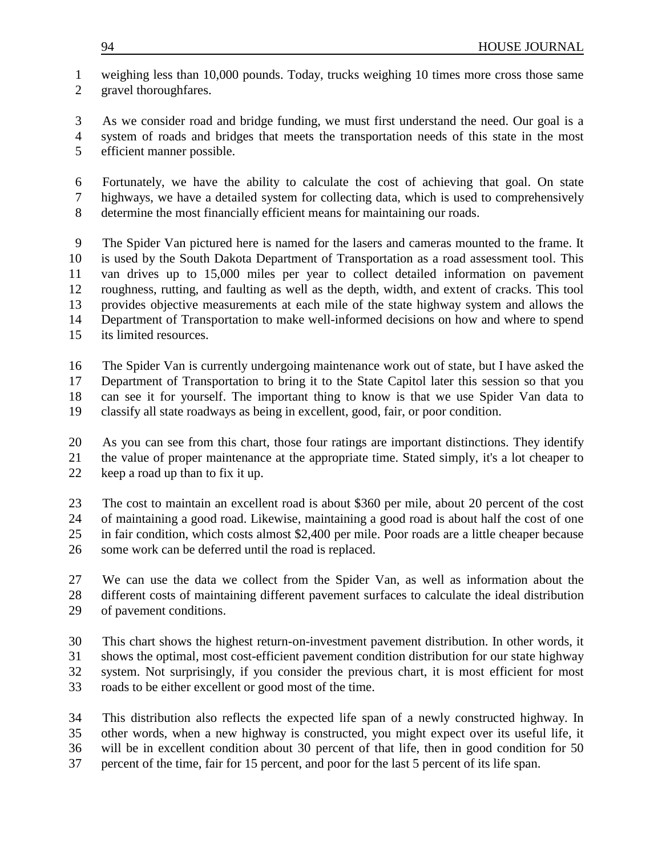weighing less than 10,000 pounds. Today, trucks weighing 10 times more cross those same gravel thoroughfares.

 As we consider road and bridge funding, we must first understand the need. Our goal is a system of roads and bridges that meets the transportation needs of this state in the most efficient manner possible.

 Fortunately, we have the ability to calculate the cost of achieving that goal. On state highways, we have a detailed system for collecting data, which is used to comprehensively determine the most financially efficient means for maintaining our roads.

 The Spider Van pictured here is named for the lasers and cameras mounted to the frame. It is used by the South Dakota Department of Transportation as a road assessment tool. This van drives up to 15,000 miles per year to collect detailed information on pavement roughness, rutting, and faulting as well as the depth, width, and extent of cracks. This tool provides objective measurements at each mile of the state highway system and allows the Department of Transportation to make well-informed decisions on how and where to spend its limited resources.

 The Spider Van is currently undergoing maintenance work out of state, but I have asked the Department of Transportation to bring it to the State Capitol later this session so that you can see it for yourself. The important thing to know is that we use Spider Van data to classify all state roadways as being in excellent, good, fair, or poor condition.

 As you can see from this chart, those four ratings are important distinctions. They identify the value of proper maintenance at the appropriate time. Stated simply, it's a lot cheaper to

keep a road up than to fix it up.

 The cost to maintain an excellent road is about \$360 per mile, about 20 percent of the cost of maintaining a good road. Likewise, maintaining a good road is about half the cost of one in fair condition, which costs almost \$2,400 per mile. Poor roads are a little cheaper because

some work can be deferred until the road is replaced.

 We can use the data we collect from the Spider Van, as well as information about the different costs of maintaining different pavement surfaces to calculate the ideal distribution of pavement conditions.

 This chart shows the highest return-on-investment pavement distribution. In other words, it shows the optimal, most cost-efficient pavement condition distribution for our state highway system. Not surprisingly, if you consider the previous chart, it is most efficient for most

roads to be either excellent or good most of the time.

 This distribution also reflects the expected life span of a newly constructed highway. In other words, when a new highway is constructed, you might expect over its useful life, it will be in excellent condition about 30 percent of that life, then in good condition for 50

percent of the time, fair for 15 percent, and poor for the last 5 percent of its life span.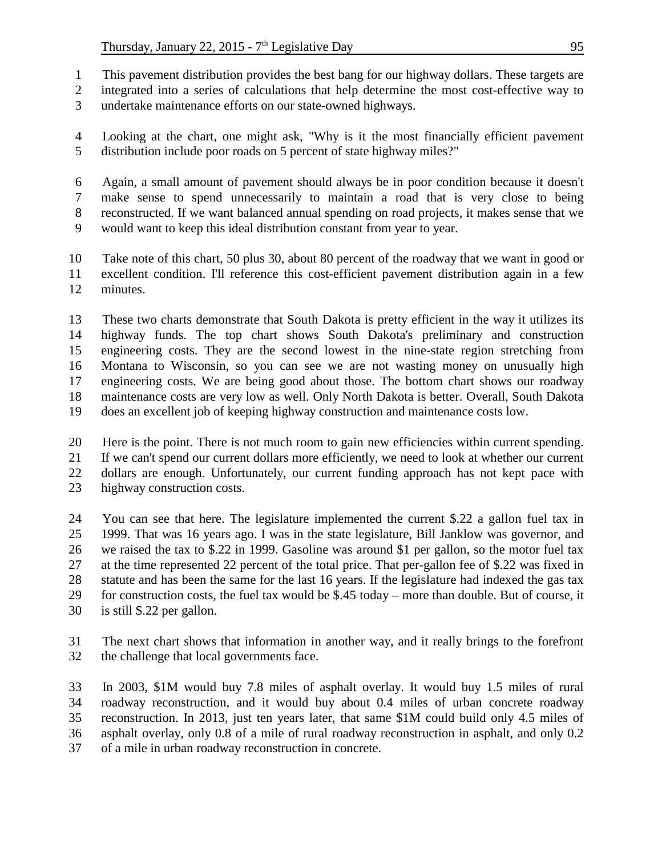- This pavement distribution provides the best bang for our highway dollars. These targets are
- integrated into a series of calculations that help determine the most cost-effective way to
- undertake maintenance efforts on our state-owned highways.
- Looking at the chart, one might ask, "Why is it the most financially efficient pavement distribution include poor roads on 5 percent of state highway miles?"
- Again, a small amount of pavement should always be in poor condition because it doesn't make sense to spend unnecessarily to maintain a road that is very close to being reconstructed. If we want balanced annual spending on road projects, it makes sense that we
- would want to keep this ideal distribution constant from year to year.
- Take note of this chart, 50 plus 30, about 80 percent of the roadway that we want in good or excellent condition. I'll reference this cost-efficient pavement distribution again in a few minutes.
- These two charts demonstrate that South Dakota is pretty efficient in the way it utilizes its highway funds. The top chart shows South Dakota's preliminary and construction engineering costs. They are the second lowest in the nine-state region stretching from Montana to Wisconsin, so you can see we are not wasting money on unusually high engineering costs. We are being good about those. The bottom chart shows our roadway maintenance costs are very low as well. Only North Dakota is better. Overall, South Dakota does an excellent job of keeping highway construction and maintenance costs low.
- Here is the point. There is not much room to gain new efficiencies within current spending. If we can't spend our current dollars more efficiently, we need to look at whether our current dollars are enough. Unfortunately, our current funding approach has not kept pace with
- highway construction costs.
- You can see that here. The legislature implemented the current \$.22 a gallon fuel tax in 1999. That was 16 years ago. I was in the state legislature, Bill Janklow was governor, and we raised the tax to \$.22 in 1999. Gasoline was around \$1 per gallon, so the motor fuel tax at the time represented 22 percent of the total price. That per-gallon fee of \$.22 was fixed in statute and has been the same for the last 16 years. If the legislature had indexed the gas tax for construction costs, the fuel tax would be \$.45 today – more than double. But of course, it is still \$.22 per gallon.
- The next chart shows that information in another way, and it really brings to the forefront the challenge that local governments face.
- In 2003, \$1M would buy 7.8 miles of asphalt overlay. It would buy 1.5 miles of rural roadway reconstruction, and it would buy about 0.4 miles of urban concrete roadway reconstruction. In 2013, just ten years later, that same \$1M could build only 4.5 miles of asphalt overlay, only 0.8 of a mile of rural roadway reconstruction in asphalt, and only 0.2 of a mile in urban roadway reconstruction in concrete.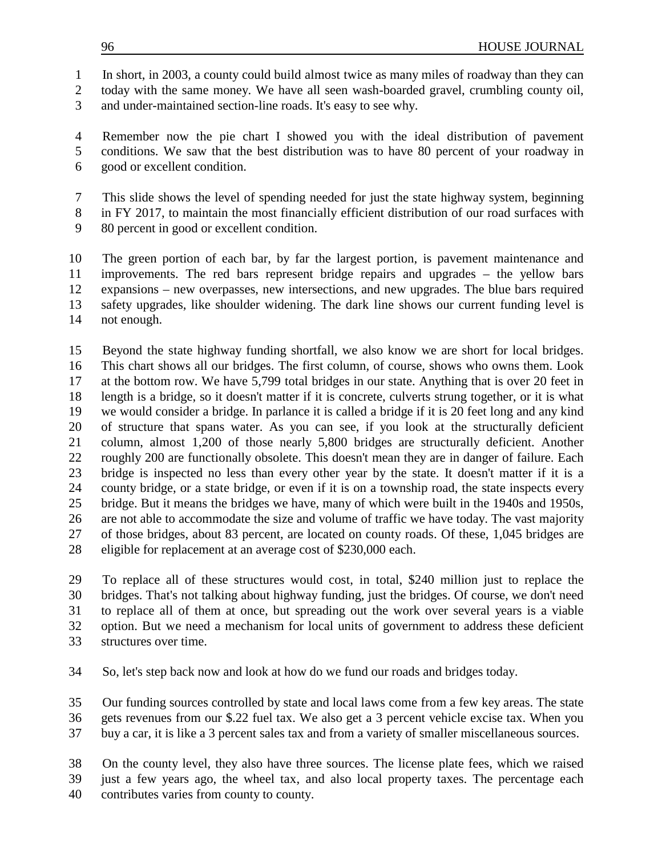In short, in 2003, a county could build almost twice as many miles of roadway than they can

today with the same money. We have all seen wash-boarded gravel, crumbling county oil,

and under-maintained section-line roads. It's easy to see why.

 Remember now the pie chart I showed you with the ideal distribution of pavement conditions. We saw that the best distribution was to have 80 percent of your roadway in good or excellent condition.

- This slide shows the level of spending needed for just the state highway system, beginning
- in FY 2017, to maintain the most financially efficient distribution of our road surfaces with
- 80 percent in good or excellent condition.

 The green portion of each bar, by far the largest portion, is pavement maintenance and improvements. The red bars represent bridge repairs and upgrades – the yellow bars expansions – new overpasses, new intersections, and new upgrades. The blue bars required safety upgrades, like shoulder widening. The dark line shows our current funding level is not enough.

 Beyond the state highway funding shortfall, we also know we are short for local bridges. This chart shows all our bridges. The first column, of course, shows who owns them. Look at the bottom row. We have 5,799 total bridges in our state. Anything that is over 20 feet in length is a bridge, so it doesn't matter if it is concrete, culverts strung together, or it is what we would consider a bridge. In parlance it is called a bridge if it is 20 feet long and any kind of structure that spans water. As you can see, if you look at the structurally deficient column, almost 1,200 of those nearly 5,800 bridges are structurally deficient. Another roughly 200 are functionally obsolete. This doesn't mean they are in danger of failure. Each bridge is inspected no less than every other year by the state. It doesn't matter if it is a county bridge, or a state bridge, or even if it is on a township road, the state inspects every bridge. But it means the bridges we have, many of which were built in the 1940s and 1950s, are not able to accommodate the size and volume of traffic we have today. The vast majority of those bridges, about 83 percent, are located on county roads. Of these, 1,045 bridges are eligible for replacement at an average cost of \$230,000 each.

 To replace all of these structures would cost, in total, \$240 million just to replace the bridges. That's not talking about highway funding, just the bridges. Of course, we don't need to replace all of them at once, but spreading out the work over several years is a viable option. But we need a mechanism for local units of government to address these deficient structures over time.

So, let's step back now and look at how do we fund our roads and bridges today.

 Our funding sources controlled by state and local laws come from a few key areas. The state gets revenues from our \$.22 fuel tax. We also get a 3 percent vehicle excise tax. When you buy a car, it is like a 3 percent sales tax and from a variety of smaller miscellaneous sources.

 On the county level, they also have three sources. The license plate fees, which we raised just a few years ago, the wheel tax, and also local property taxes. The percentage each

contributes varies from county to county.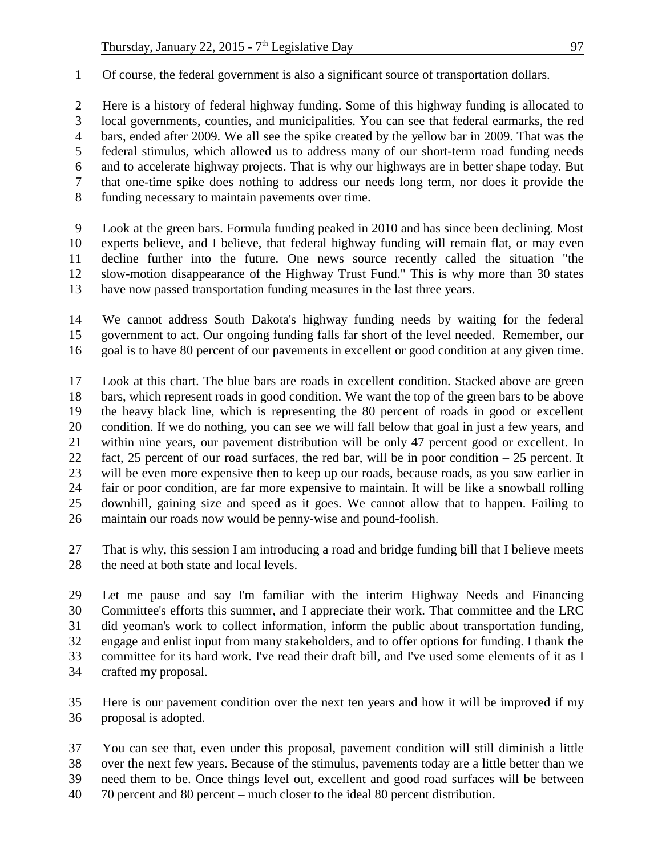Of course, the federal government is also a significant source of transportation dollars.

 Here is a history of federal highway funding. Some of this highway funding is allocated to local governments, counties, and municipalities. You can see that federal earmarks, the red bars, ended after 2009. We all see the spike created by the yellow bar in 2009. That was the federal stimulus, which allowed us to address many of our short-term road funding needs and to accelerate highway projects. That is why our highways are in better shape today. But that one-time spike does nothing to address our needs long term, nor does it provide the funding necessary to maintain pavements over time.

 Look at the green bars. Formula funding peaked in 2010 and has since been declining. Most experts believe, and I believe, that federal highway funding will remain flat, or may even decline further into the future. One news source recently called the situation "the slow-motion disappearance of the Highway Trust Fund." This is why more than 30 states have now passed transportation funding measures in the last three years.

 We cannot address South Dakota's highway funding needs by waiting for the federal government to act. Our ongoing funding falls far short of the level needed. Remember, our goal is to have 80 percent of our pavements in excellent or good condition at any given time.

 Look at this chart. The blue bars are roads in excellent condition. Stacked above are green bars, which represent roads in good condition. We want the top of the green bars to be above the heavy black line, which is representing the 80 percent of roads in good or excellent condition. If we do nothing, you can see we will fall below that goal in just a few years, and within nine years, our pavement distribution will be only 47 percent good or excellent. In fact, 25 percent of our road surfaces, the red bar, will be in poor condition – 25 percent. It will be even more expensive then to keep up our roads, because roads, as you saw earlier in fair or poor condition, are far more expensive to maintain. It will be like a snowball rolling downhill, gaining size and speed as it goes. We cannot allow that to happen. Failing to maintain our roads now would be penny-wise and pound-foolish.

 That is why, this session I am introducing a road and bridge funding bill that I believe meets 28 the need at both state and local levels.

 Let me pause and say I'm familiar with the interim Highway Needs and Financing Committee's efforts this summer, and I appreciate their work. That committee and the LRC did yeoman's work to collect information, inform the public about transportation funding, engage and enlist input from many stakeholders, and to offer options for funding. I thank the committee for its hard work. I've read their draft bill, and I've used some elements of it as I crafted my proposal.

 Here is our pavement condition over the next ten years and how it will be improved if my proposal is adopted.

 You can see that, even under this proposal, pavement condition will still diminish a little over the next few years. Because of the stimulus, pavements today are a little better than we need them to be. Once things level out, excellent and good road surfaces will be between

70 percent and 80 percent – much closer to the ideal 80 percent distribution.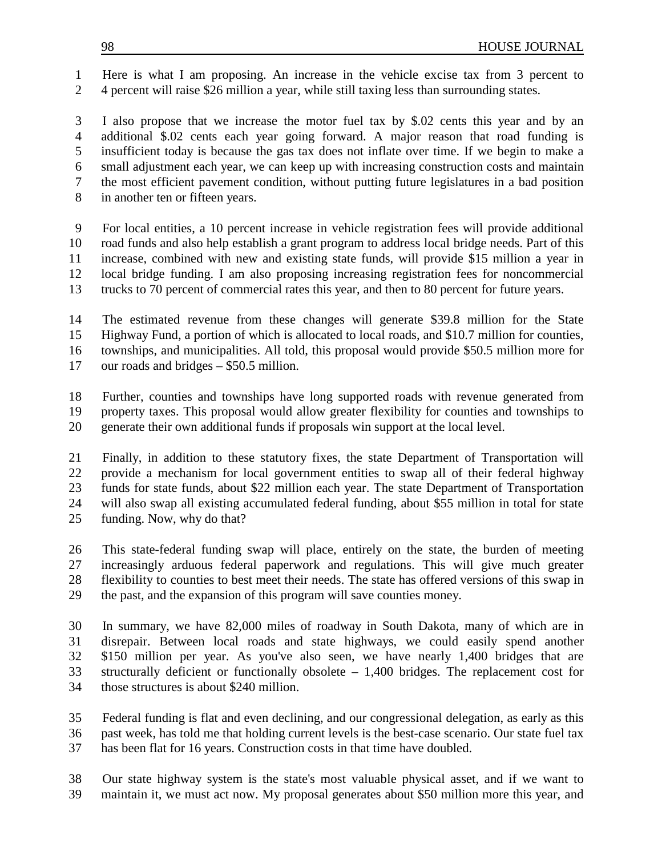Here is what I am proposing. An increase in the vehicle excise tax from 3 percent to 4 percent will raise \$26 million a year, while still taxing less than surrounding states.

 I also propose that we increase the motor fuel tax by \$.02 cents this year and by an additional \$.02 cents each year going forward. A major reason that road funding is insufficient today is because the gas tax does not inflate over time. If we begin to make a small adjustment each year, we can keep up with increasing construction costs and maintain the most efficient pavement condition, without putting future legislatures in a bad position in another ten or fifteen years.

 For local entities, a 10 percent increase in vehicle registration fees will provide additional road funds and also help establish a grant program to address local bridge needs. Part of this increase, combined with new and existing state funds, will provide \$15 million a year in local bridge funding. I am also proposing increasing registration fees for noncommercial trucks to 70 percent of commercial rates this year, and then to 80 percent for future years.

 The estimated revenue from these changes will generate \$39.8 million for the State Highway Fund, a portion of which is allocated to local roads, and \$10.7 million for counties, townships, and municipalities. All told, this proposal would provide \$50.5 million more for our roads and bridges – \$50.5 million.

 Further, counties and townships have long supported roads with revenue generated from property taxes. This proposal would allow greater flexibility for counties and townships to generate their own additional funds if proposals win support at the local level.

 Finally, in addition to these statutory fixes, the state Department of Transportation will provide a mechanism for local government entities to swap all of their federal highway funds for state funds, about \$22 million each year. The state Department of Transportation will also swap all existing accumulated federal funding, about \$55 million in total for state funding. Now, why do that?

 This state-federal funding swap will place, entirely on the state, the burden of meeting increasingly arduous federal paperwork and regulations. This will give much greater flexibility to counties to best meet their needs. The state has offered versions of this swap in the past, and the expansion of this program will save counties money.

 In summary, we have 82,000 miles of roadway in South Dakota, many of which are in disrepair. Between local roads and state highways, we could easily spend another \$150 million per year. As you've also seen, we have nearly 1,400 bridges that are structurally deficient or functionally obsolete – 1,400 bridges. The replacement cost for those structures is about \$240 million.

 Federal funding is flat and even declining, and our congressional delegation, as early as this past week, has told me that holding current levels is the best-case scenario. Our state fuel tax has been flat for 16 years. Construction costs in that time have doubled.

 Our state highway system is the state's most valuable physical asset, and if we want to maintain it, we must act now. My proposal generates about \$50 million more this year, and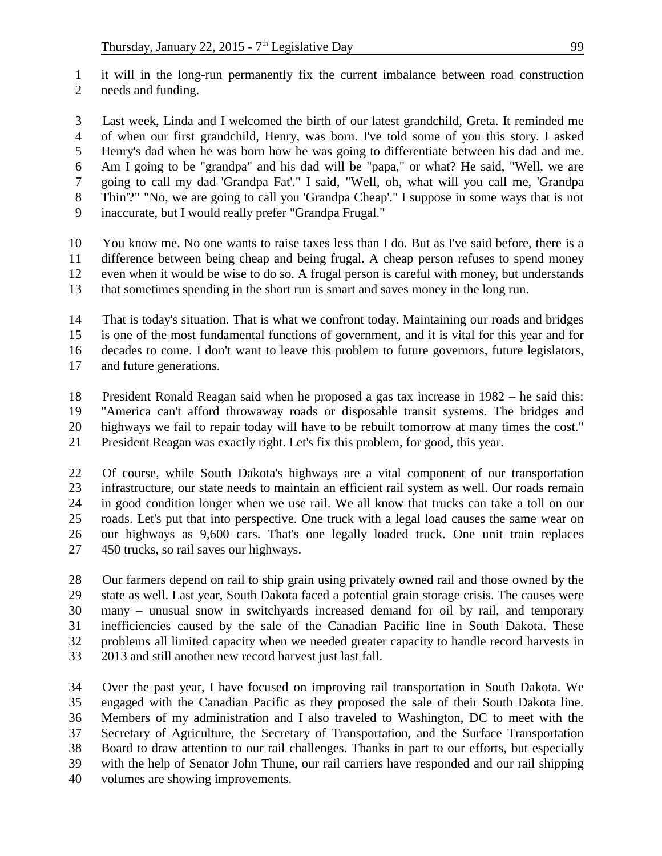it will in the long-run permanently fix the current imbalance between road construction needs and funding.

 Last week, Linda and I welcomed the birth of our latest grandchild, Greta. It reminded me of when our first grandchild, Henry, was born. I've told some of you this story. I asked Henry's dad when he was born how he was going to differentiate between his dad and me. Am I going to be "grandpa" and his dad will be "papa," or what? He said, "Well, we are going to call my dad 'Grandpa Fat'." I said, "Well, oh, what will you call me, 'Grandpa Thin'?" "No, we are going to call you 'Grandpa Cheap'." I suppose in some ways that is not inaccurate, but I would really prefer "Grandpa Frugal."

 You know me. No one wants to raise taxes less than I do. But as I've said before, there is a difference between being cheap and being frugal. A cheap person refuses to spend money even when it would be wise to do so. A frugal person is careful with money, but understands that sometimes spending in the short run is smart and saves money in the long run.

 That is today's situation. That is what we confront today. Maintaining our roads and bridges is one of the most fundamental functions of government, and it is vital for this year and for decades to come. I don't want to leave this problem to future governors, future legislators,

and future generations.

 President Ronald Reagan said when he proposed a gas tax increase in 1982 – he said this: "America can't afford throwaway roads or disposable transit systems. The bridges and highways we fail to repair today will have to be rebuilt tomorrow at many times the cost."

President Reagan was exactly right. Let's fix this problem, for good, this year.

 Of course, while South Dakota's highways are a vital component of our transportation infrastructure, our state needs to maintain an efficient rail system as well. Our roads remain in good condition longer when we use rail. We all know that trucks can take a toll on our roads. Let's put that into perspective. One truck with a legal load causes the same wear on our highways as 9,600 cars. That's one legally loaded truck. One unit train replaces 450 trucks, so rail saves our highways.

 Our farmers depend on rail to ship grain using privately owned rail and those owned by the state as well. Last year, South Dakota faced a potential grain storage crisis. The causes were many – unusual snow in switchyards increased demand for oil by rail, and temporary inefficiencies caused by the sale of the Canadian Pacific line in South Dakota. These problems all limited capacity when we needed greater capacity to handle record harvests in 2013 and still another new record harvest just last fall.

 Over the past year, I have focused on improving rail transportation in South Dakota. We engaged with the Canadian Pacific as they proposed the sale of their South Dakota line. Members of my administration and I also traveled to Washington, DC to meet with the Secretary of Agriculture, the Secretary of Transportation, and the Surface Transportation Board to draw attention to our rail challenges. Thanks in part to our efforts, but especially with the help of Senator John Thune, our rail carriers have responded and our rail shipping volumes are showing improvements.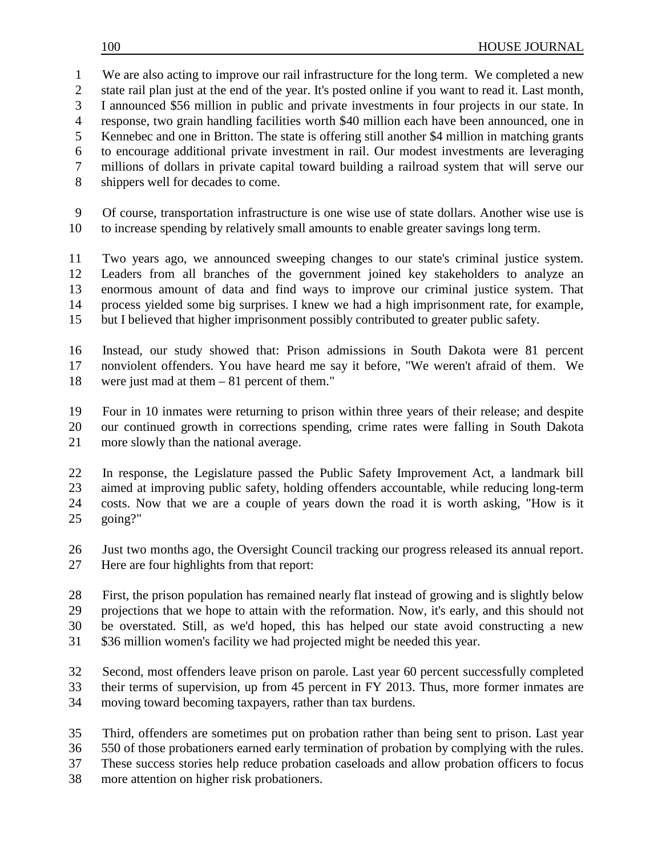We are also acting to improve our rail infrastructure for the long term. We completed a new state rail plan just at the end of the year. It's posted online if you want to read it. Last month, I announced \$56 million in public and private investments in four projects in our state. In response, two grain handling facilities worth \$40 million each have been announced, one in Kennebec and one in Britton. The state is offering still another \$4 million in matching grants to encourage additional private investment in rail. Our modest investments are leveraging millions of dollars in private capital toward building a railroad system that will serve our shippers well for decades to come.

 Of course, transportation infrastructure is one wise use of state dollars. Another wise use is to increase spending by relatively small amounts to enable greater savings long term.

 Two years ago, we announced sweeping changes to our state's criminal justice system. Leaders from all branches of the government joined key stakeholders to analyze an enormous amount of data and find ways to improve our criminal justice system. That process yielded some big surprises. I knew we had a high imprisonment rate, for example, but I believed that higher imprisonment possibly contributed to greater public safety.

 Instead, our study showed that: Prison admissions in South Dakota were 81 percent nonviolent offenders. You have heard me say it before, "We weren't afraid of them. We were just mad at them – 81 percent of them."

 Four in 10 inmates were returning to prison within three years of their release; and despite our continued growth in corrections spending, crime rates were falling in South Dakota more slowly than the national average.

 In response, the Legislature passed the Public Safety Improvement Act, a landmark bill aimed at improving public safety, holding offenders accountable, while reducing long-term costs. Now that we are a couple of years down the road it is worth asking, "How is it going?"

 Just two months ago, the Oversight Council tracking our progress released its annual report. Here are four highlights from that report:

 First, the prison population has remained nearly flat instead of growing and is slightly below projections that we hope to attain with the reformation. Now, it's early, and this should not be overstated. Still, as we'd hoped, this has helped our state avoid constructing a new \$36 million women's facility we had projected might be needed this year.

 Second, most offenders leave prison on parole. Last year 60 percent successfully completed their terms of supervision, up from 45 percent in FY 2013. Thus, more former inmates are moving toward becoming taxpayers, rather than tax burdens.

 Third, offenders are sometimes put on probation rather than being sent to prison. Last year 550 of those probationers earned early termination of probation by complying with the rules. These success stories help reduce probation caseloads and allow probation officers to focus

more attention on higher risk probationers.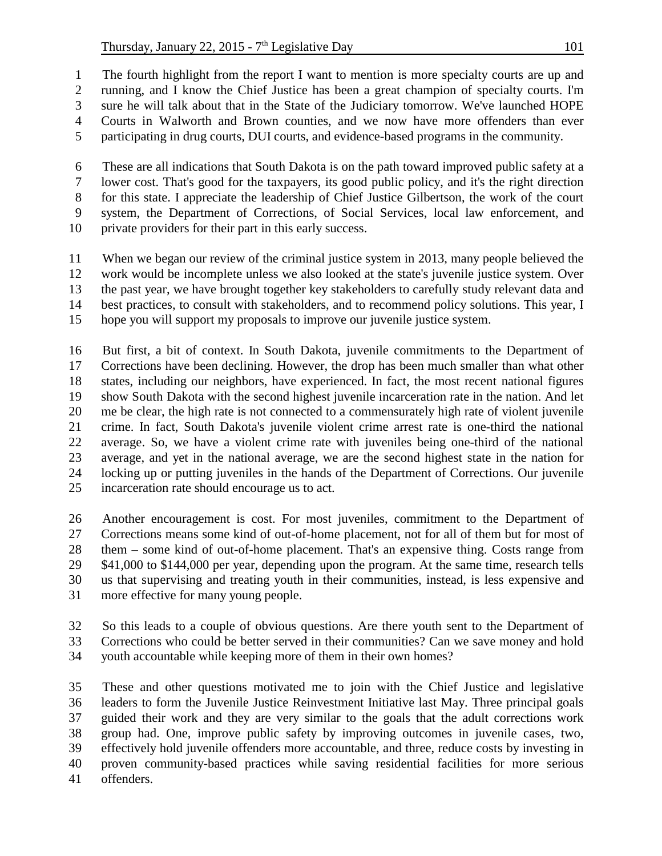The fourth highlight from the report I want to mention is more specialty courts are up and running, and I know the Chief Justice has been a great champion of specialty courts. I'm sure he will talk about that in the State of the Judiciary tomorrow. We've launched HOPE

- Courts in Walworth and Brown counties, and we now have more offenders than ever
- participating in drug courts, DUI courts, and evidence-based programs in the community.

 These are all indications that South Dakota is on the path toward improved public safety at a lower cost. That's good for the taxpayers, its good public policy, and it's the right direction for this state. I appreciate the leadership of Chief Justice Gilbertson, the work of the court system, the Department of Corrections, of Social Services, local law enforcement, and

private providers for their part in this early success.

 When we began our review of the criminal justice system in 2013, many people believed the work would be incomplete unless we also looked at the state's juvenile justice system. Over the past year, we have brought together key stakeholders to carefully study relevant data and best practices, to consult with stakeholders, and to recommend policy solutions. This year, I hope you will support my proposals to improve our juvenile justice system.

 But first, a bit of context. In South Dakota, juvenile commitments to the Department of Corrections have been declining. However, the drop has been much smaller than what other states, including our neighbors, have experienced. In fact, the most recent national figures show South Dakota with the second highest juvenile incarceration rate in the nation. And let me be clear, the high rate is not connected to a commensurately high rate of violent juvenile crime. In fact, South Dakota's juvenile violent crime arrest rate is one-third the national average. So, we have a violent crime rate with juveniles being one-third of the national average, and yet in the national average, we are the second highest state in the nation for locking up or putting juveniles in the hands of the Department of Corrections. Our juvenile incarceration rate should encourage us to act.

 Another encouragement is cost. For most juveniles, commitment to the Department of Corrections means some kind of out-of-home placement, not for all of them but for most of them – some kind of out-of-home placement. That's an expensive thing. Costs range from 29 \$41,000 to \$144,000 per year, depending upon the program. At the same time, research tells us that supervising and treating youth in their communities, instead, is less expensive and more effective for many young people.

 So this leads to a couple of obvious questions. Are there youth sent to the Department of Corrections who could be better served in their communities? Can we save money and hold

youth accountable while keeping more of them in their own homes?

 These and other questions motivated me to join with the Chief Justice and legislative leaders to form the Juvenile Justice Reinvestment Initiative last May. Three principal goals guided their work and they are very similar to the goals that the adult corrections work group had. One, improve public safety by improving outcomes in juvenile cases, two, effectively hold juvenile offenders more accountable, and three, reduce costs by investing in proven community-based practices while saving residential facilities for more serious offenders.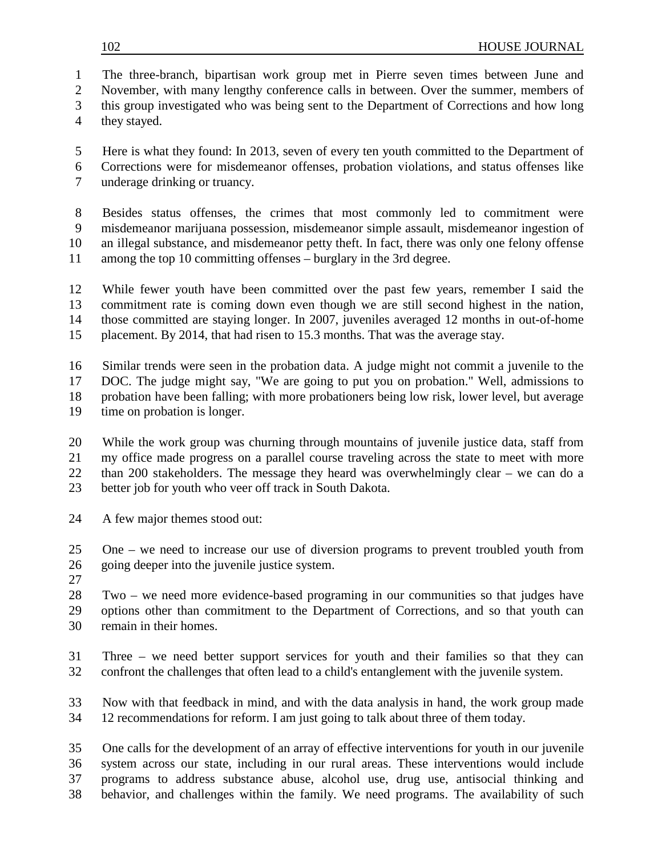The three-branch, bipartisan work group met in Pierre seven times between June and

November, with many lengthy conference calls in between. Over the summer, members of

this group investigated who was being sent to the Department of Corrections and how long

they stayed.

 Here is what they found: In 2013, seven of every ten youth committed to the Department of Corrections were for misdemeanor offenses, probation violations, and status offenses like

underage drinking or truancy.

 Besides status offenses, the crimes that most commonly led to commitment were misdemeanor marijuana possession, misdemeanor simple assault, misdemeanor ingestion of an illegal substance, and misdemeanor petty theft. In fact, there was only one felony offense

among the top 10 committing offenses – burglary in the 3rd degree.

 While fewer youth have been committed over the past few years, remember I said the commitment rate is coming down even though we are still second highest in the nation, those committed are staying longer. In 2007, juveniles averaged 12 months in out-of-home

placement. By 2014, that had risen to 15.3 months. That was the average stay.

 Similar trends were seen in the probation data. A judge might not commit a juvenile to the DOC. The judge might say, "We are going to put you on probation." Well, admissions to probation have been falling; with more probationers being low risk, lower level, but average time on probation is longer.

 While the work group was churning through mountains of juvenile justice data, staff from my office made progress on a parallel course traveling across the state to meet with more than 200 stakeholders. The message they heard was overwhelmingly clear – we can do a better job for youth who veer off track in South Dakota.

A few major themes stood out:

 One – we need to increase our use of diversion programs to prevent troubled youth from going deeper into the juvenile justice system.

 Two – we need more evidence-based programing in our communities so that judges have options other than commitment to the Department of Corrections, and so that youth can remain in their homes.

 Three – we need better support services for youth and their families so that they can confront the challenges that often lead to a child's entanglement with the juvenile system.

 Now with that feedback in mind, and with the data analysis in hand, the work group made 12 recommendations for reform. I am just going to talk about three of them today.

 One calls for the development of an array of effective interventions for youth in our juvenile system across our state, including in our rural areas. These interventions would include programs to address substance abuse, alcohol use, drug use, antisocial thinking and

behavior, and challenges within the family. We need programs. The availability of such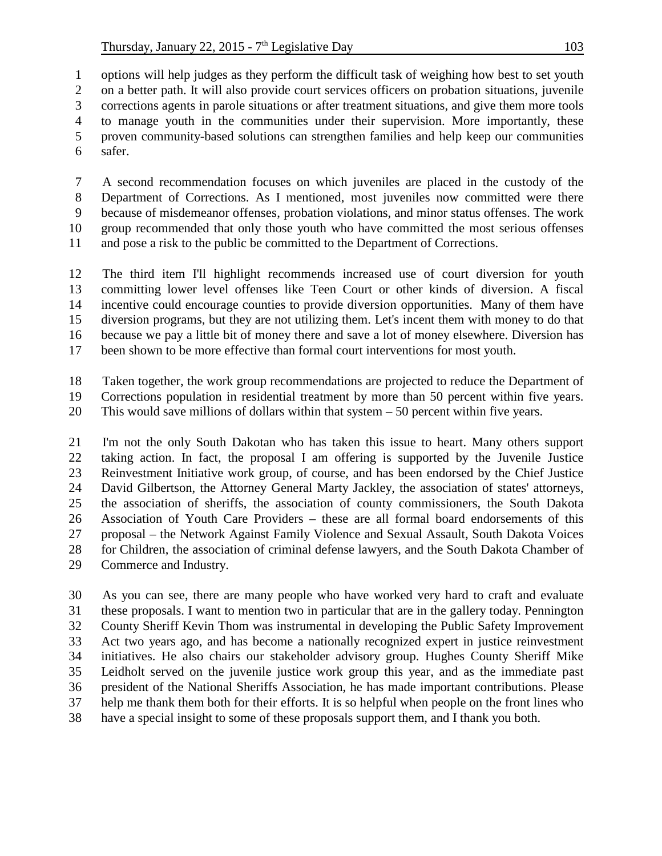options will help judges as they perform the difficult task of weighing how best to set youth on a better path. It will also provide court services officers on probation situations, juvenile corrections agents in parole situations or after treatment situations, and give them more tools to manage youth in the communities under their supervision. More importantly, these proven community-based solutions can strengthen families and help keep our communities safer.

 A second recommendation focuses on which juveniles are placed in the custody of the Department of Corrections. As I mentioned, most juveniles now committed were there because of misdemeanor offenses, probation violations, and minor status offenses. The work group recommended that only those youth who have committed the most serious offenses and pose a risk to the public be committed to the Department of Corrections.

 The third item I'll highlight recommends increased use of court diversion for youth committing lower level offenses like Teen Court or other kinds of diversion. A fiscal incentive could encourage counties to provide diversion opportunities. Many of them have diversion programs, but they are not utilizing them. Let's incent them with money to do that because we pay a little bit of money there and save a lot of money elsewhere. Diversion has been shown to be more effective than formal court interventions for most youth.

 Taken together, the work group recommendations are projected to reduce the Department of Corrections population in residential treatment by more than 50 percent within five years.

This would save millions of dollars within that system – 50 percent within five years.

 I'm not the only South Dakotan who has taken this issue to heart. Many others support taking action. In fact, the proposal I am offering is supported by the Juvenile Justice Reinvestment Initiative work group, of course, and has been endorsed by the Chief Justice David Gilbertson, the Attorney General Marty Jackley, the association of states' attorneys, the association of sheriffs, the association of county commissioners, the South Dakota Association of Youth Care Providers – these are all formal board endorsements of this proposal – the Network Against Family Violence and Sexual Assault, South Dakota Voices for Children, the association of criminal defense lawyers, and the South Dakota Chamber of Commerce and Industry.

 As you can see, there are many people who have worked very hard to craft and evaluate these proposals. I want to mention two in particular that are in the gallery today. Pennington County Sheriff Kevin Thom was instrumental in developing the Public Safety Improvement Act two years ago, and has become a nationally recognized expert in justice reinvestment initiatives. He also chairs our stakeholder advisory group. Hughes County Sheriff Mike Leidholt served on the juvenile justice work group this year, and as the immediate past president of the National Sheriffs Association, he has made important contributions. Please help me thank them both for their efforts. It is so helpful when people on the front lines who have a special insight to some of these proposals support them, and I thank you both.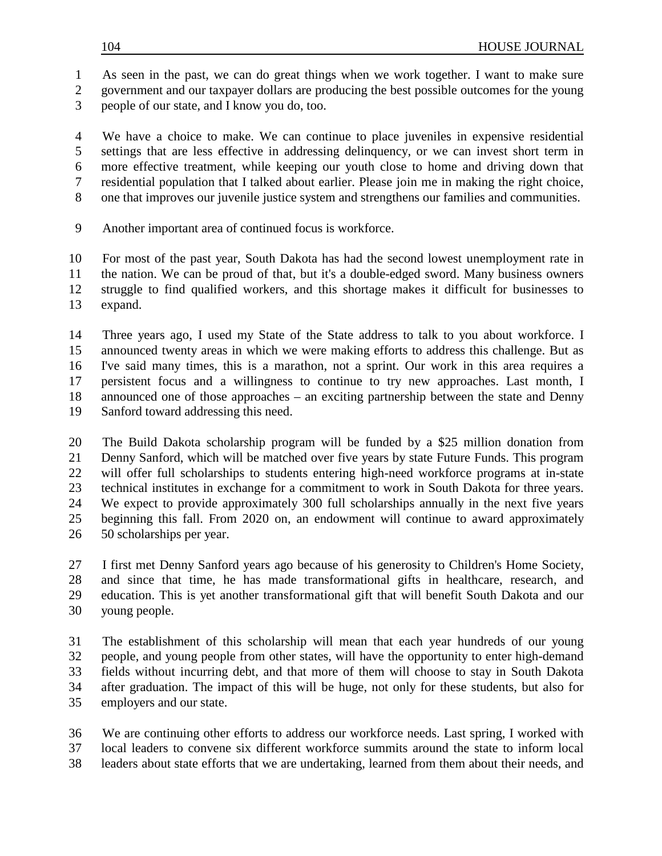As seen in the past, we can do great things when we work together. I want to make sure

- government and our taxpayer dollars are producing the best possible outcomes for the young
- people of our state, and I know you do, too.

 We have a choice to make. We can continue to place juveniles in expensive residential settings that are less effective in addressing delinquency, or we can invest short term in more effective treatment, while keeping our youth close to home and driving down that residential population that I talked about earlier. Please join me in making the right choice, one that improves our juvenile justice system and strengthens our families and communities.

Another important area of continued focus is workforce.

 For most of the past year, South Dakota has had the second lowest unemployment rate in the nation. We can be proud of that, but it's a double-edged sword. Many business owners struggle to find qualified workers, and this shortage makes it difficult for businesses to expand.

 Three years ago, I used my State of the State address to talk to you about workforce. I announced twenty areas in which we were making efforts to address this challenge. But as I've said many times, this is a marathon, not a sprint. Our work in this area requires a persistent focus and a willingness to continue to try new approaches. Last month, I announced one of those approaches – an exciting partnership between the state and Denny Sanford toward addressing this need.

 The Build Dakota scholarship program will be funded by a \$25 million donation from Denny Sanford, which will be matched over five years by state Future Funds. This program will offer full scholarships to students entering high-need workforce programs at in-state technical institutes in exchange for a commitment to work in South Dakota for three years. We expect to provide approximately 300 full scholarships annually in the next five years beginning this fall. From 2020 on, an endowment will continue to award approximately 50 scholarships per year.

 I first met Denny Sanford years ago because of his generosity to Children's Home Society, and since that time, he has made transformational gifts in healthcare, research, and education. This is yet another transformational gift that will benefit South Dakota and our young people.

 The establishment of this scholarship will mean that each year hundreds of our young people, and young people from other states, will have the opportunity to enter high-demand fields without incurring debt, and that more of them will choose to stay in South Dakota after graduation. The impact of this will be huge, not only for these students, but also for employers and our state.

 We are continuing other efforts to address our workforce needs. Last spring, I worked with local leaders to convene six different workforce summits around the state to inform local leaders about state efforts that we are undertaking, learned from them about their needs, and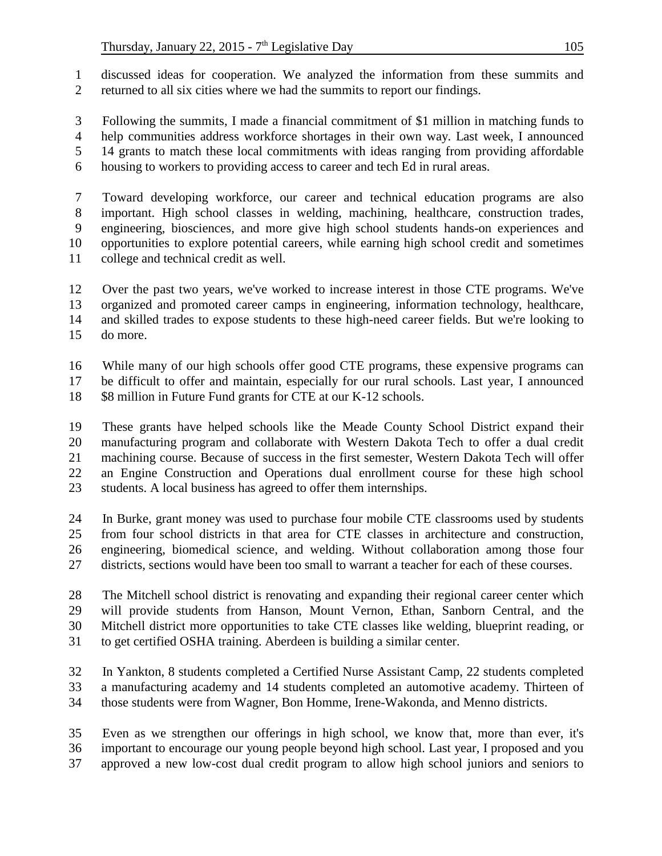discussed ideas for cooperation. We analyzed the information from these summits and returned to all six cities where we had the summits to report our findings.

 Following the summits, I made a financial commitment of \$1 million in matching funds to help communities address workforce shortages in their own way. Last week, I announced 14 grants to match these local commitments with ideas ranging from providing affordable housing to workers to providing access to career and tech Ed in rural areas.

 Toward developing workforce, our career and technical education programs are also important. High school classes in welding, machining, healthcare, construction trades, engineering, biosciences, and more give high school students hands-on experiences and opportunities to explore potential careers, while earning high school credit and sometimes college and technical credit as well.

 Over the past two years, we've worked to increase interest in those CTE programs. We've organized and promoted career camps in engineering, information technology, healthcare, and skilled trades to expose students to these high-need career fields. But we're looking to do more.

 While many of our high schools offer good CTE programs, these expensive programs can be difficult to offer and maintain, especially for our rural schools. Last year, I announced

18 \$8 million in Future Fund grants for CTE at our K-12 schools.

 These grants have helped schools like the Meade County School District expand their manufacturing program and collaborate with Western Dakota Tech to offer a dual credit machining course. Because of success in the first semester, Western Dakota Tech will offer an Engine Construction and Operations dual enrollment course for these high school students. A local business has agreed to offer them internships.

 In Burke, grant money was used to purchase four mobile CTE classrooms used by students from four school districts in that area for CTE classes in architecture and construction, engineering, biomedical science, and welding. Without collaboration among those four districts, sections would have been too small to warrant a teacher for each of these courses.

 The Mitchell school district is renovating and expanding their regional career center which will provide students from Hanson, Mount Vernon, Ethan, Sanborn Central, and the Mitchell district more opportunities to take CTE classes like welding, blueprint reading, or to get certified OSHA training. Aberdeen is building a similar center.

 In Yankton, 8 students completed a Certified Nurse Assistant Camp, 22 students completed a manufacturing academy and 14 students completed an automotive academy. Thirteen of those students were from Wagner, Bon Homme, Irene-Wakonda, and Menno districts.

 Even as we strengthen our offerings in high school, we know that, more than ever, it's important to encourage our young people beyond high school. Last year, I proposed and you approved a new low-cost dual credit program to allow high school juniors and seniors to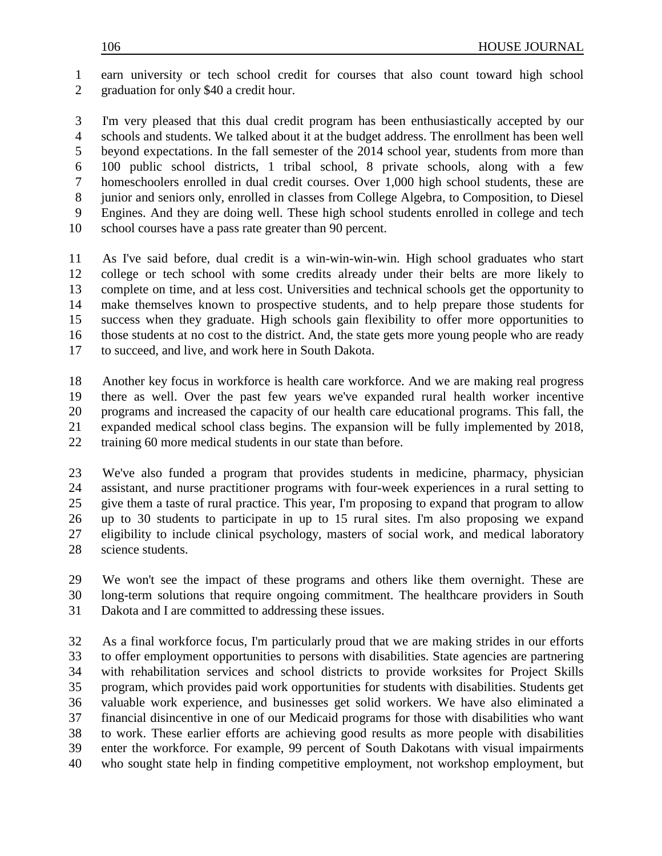earn university or tech school credit for courses that also count toward high school graduation for only \$40 a credit hour.

 I'm very pleased that this dual credit program has been enthusiastically accepted by our schools and students. We talked about it at the budget address. The enrollment has been well beyond expectations. In the fall semester of the 2014 school year, students from more than 100 public school districts, 1 tribal school, 8 private schools, along with a few homeschoolers enrolled in dual credit courses. Over 1,000 high school students, these are junior and seniors only, enrolled in classes from College Algebra, to Composition, to Diesel Engines. And they are doing well. These high school students enrolled in college and tech school courses have a pass rate greater than 90 percent.

 As I've said before, dual credit is a win-win-win-win. High school graduates who start college or tech school with some credits already under their belts are more likely to complete on time, and at less cost. Universities and technical schools get the opportunity to make themselves known to prospective students, and to help prepare those students for success when they graduate. High schools gain flexibility to offer more opportunities to those students at no cost to the district. And, the state gets more young people who are ready to succeed, and live, and work here in South Dakota.

 Another key focus in workforce is health care workforce. And we are making real progress there as well. Over the past few years we've expanded rural health worker incentive programs and increased the capacity of our health care educational programs. This fall, the expanded medical school class begins. The expansion will be fully implemented by 2018, training 60 more medical students in our state than before.

 We've also funded a program that provides students in medicine, pharmacy, physician assistant, and nurse practitioner programs with four-week experiences in a rural setting to give them a taste of rural practice. This year, I'm proposing to expand that program to allow up to 30 students to participate in up to 15 rural sites. I'm also proposing we expand eligibility to include clinical psychology, masters of social work, and medical laboratory science students.

 We won't see the impact of these programs and others like them overnight. These are long-term solutions that require ongoing commitment. The healthcare providers in South Dakota and I are committed to addressing these issues.

 As a final workforce focus, I'm particularly proud that we are making strides in our efforts to offer employment opportunities to persons with disabilities. State agencies are partnering with rehabilitation services and school districts to provide worksites for Project Skills program, which provides paid work opportunities for students with disabilities. Students get valuable work experience, and businesses get solid workers. We have also eliminated a financial disincentive in one of our Medicaid programs for those with disabilities who want to work. These earlier efforts are achieving good results as more people with disabilities enter the workforce. For example, 99 percent of South Dakotans with visual impairments who sought state help in finding competitive employment, not workshop employment, but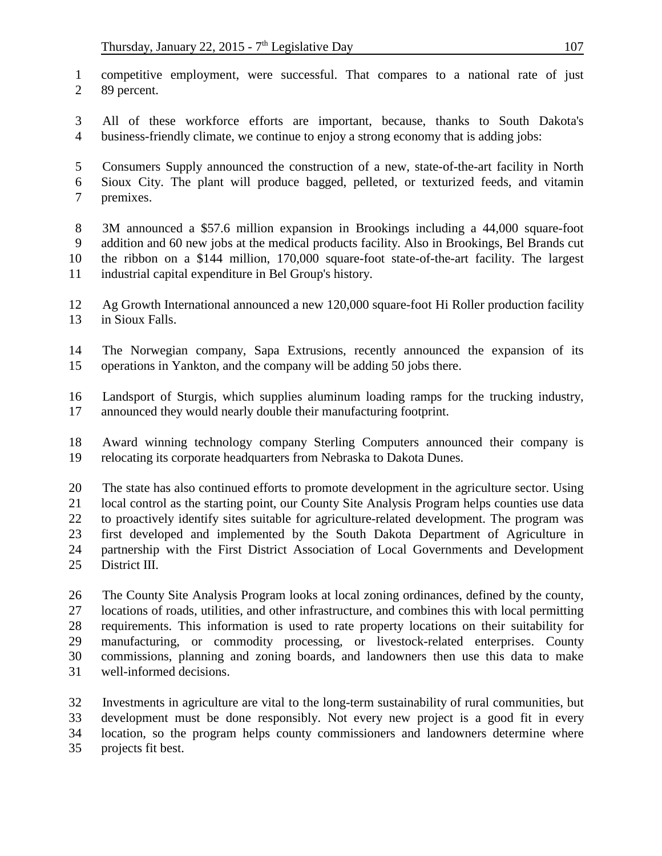competitive employment, were successful. That compares to a national rate of just 89 percent.

 All of these workforce efforts are important, because, thanks to South Dakota's business-friendly climate, we continue to enjoy a strong economy that is adding jobs:

 Consumers Supply announced the construction of a new, state-of-the-art facility in North Sioux City. The plant will produce bagged, pelleted, or texturized feeds, and vitamin premixes.

 3M announced a \$57.6 million expansion in Brookings including a 44,000 square-foot addition and 60 new jobs at the medical products facility. Also in Brookings, Bel Brands cut the ribbon on a \$144 million, 170,000 square-foot state-of-the-art facility. The largest industrial capital expenditure in Bel Group's history.

 Ag Growth International announced a new 120,000 square-foot Hi Roller production facility in Sioux Falls.

- The Norwegian company, Sapa Extrusions, recently announced the expansion of its operations in Yankton, and the company will be adding 50 jobs there.
- Landsport of Sturgis, which supplies aluminum loading ramps for the trucking industry, announced they would nearly double their manufacturing footprint.

 Award winning technology company Sterling Computers announced their company is relocating its corporate headquarters from Nebraska to Dakota Dunes.

 The state has also continued efforts to promote development in the agriculture sector. Using local control as the starting point, our County Site Analysis Program helps counties use data to proactively identify sites suitable for agriculture-related development. The program was first developed and implemented by the South Dakota Department of Agriculture in partnership with the First District Association of Local Governments and Development District III.

 The County Site Analysis Program looks at local zoning ordinances, defined by the county, locations of roads, utilities, and other infrastructure, and combines this with local permitting requirements. This information is used to rate property locations on their suitability for manufacturing, or commodity processing, or livestock-related enterprises. County commissions, planning and zoning boards, and landowners then use this data to make well-informed decisions.

 Investments in agriculture are vital to the long-term sustainability of rural communities, but development must be done responsibly. Not every new project is a good fit in every location, so the program helps county commissioners and landowners determine where projects fit best.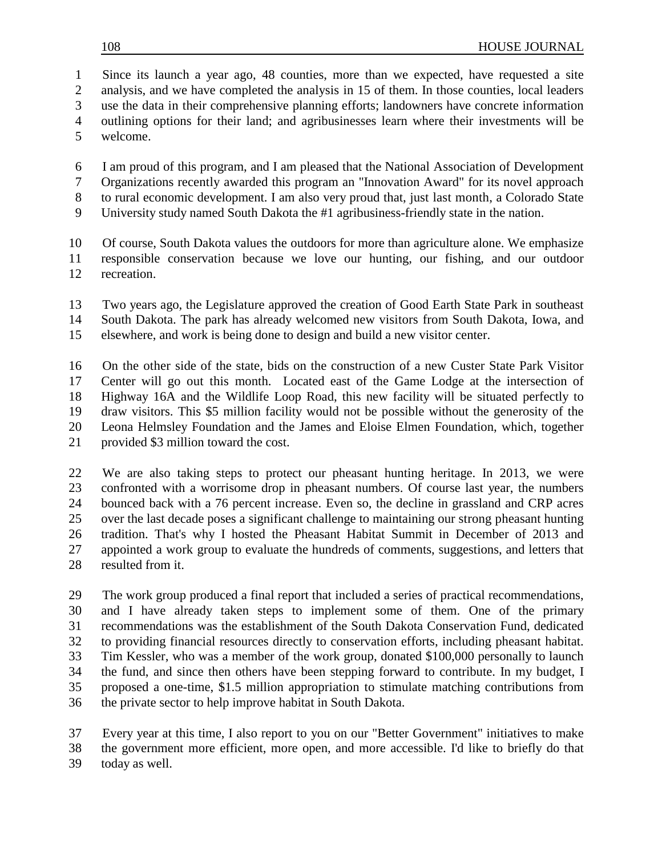Since its launch a year ago, 48 counties, more than we expected, have requested a site 2 analysis, and we have completed the analysis in 15 of them. In those counties, local leaders

use the data in their comprehensive planning efforts; landowners have concrete information

- outlining options for their land; and agribusinesses learn where their investments will be
- welcome.

 I am proud of this program, and I am pleased that the National Association of Development Organizations recently awarded this program an "Innovation Award" for its novel approach

- to rural economic development. I am also very proud that, just last month, a Colorado State
- University study named South Dakota the #1 agribusiness-friendly state in the nation.

 Of course, South Dakota values the outdoors for more than agriculture alone. We emphasize responsible conservation because we love our hunting, our fishing, and our outdoor recreation.

 Two years ago, the Legislature approved the creation of Good Earth State Park in southeast South Dakota. The park has already welcomed new visitors from South Dakota, Iowa, and

elsewhere, and work is being done to design and build a new visitor center.

 On the other side of the state, bids on the construction of a new Custer State Park Visitor Center will go out this month. Located east of the Game Lodge at the intersection of Highway 16A and the Wildlife Loop Road, this new facility will be situated perfectly to draw visitors. This \$5 million facility would not be possible without the generosity of the Leona Helmsley Foundation and the James and Eloise Elmen Foundation, which, together provided \$3 million toward the cost.

 We are also taking steps to protect our pheasant hunting heritage. In 2013, we were confronted with a worrisome drop in pheasant numbers. Of course last year, the numbers bounced back with a 76 percent increase. Even so, the decline in grassland and CRP acres over the last decade poses a significant challenge to maintaining our strong pheasant hunting tradition. That's why I hosted the Pheasant Habitat Summit in December of 2013 and appointed a work group to evaluate the hundreds of comments, suggestions, and letters that resulted from it.

 The work group produced a final report that included a series of practical recommendations, and I have already taken steps to implement some of them. One of the primary recommendations was the establishment of the South Dakota Conservation Fund, dedicated to providing financial resources directly to conservation efforts, including pheasant habitat. Tim Kessler, who was a member of the work group, donated \$100,000 personally to launch the fund, and since then others have been stepping forward to contribute. In my budget, I proposed a one-time, \$1.5 million appropriation to stimulate matching contributions from the private sector to help improve habitat in South Dakota.

 Every year at this time, I also report to you on our "Better Government" initiatives to make the government more efficient, more open, and more accessible. I'd like to briefly do that today as well.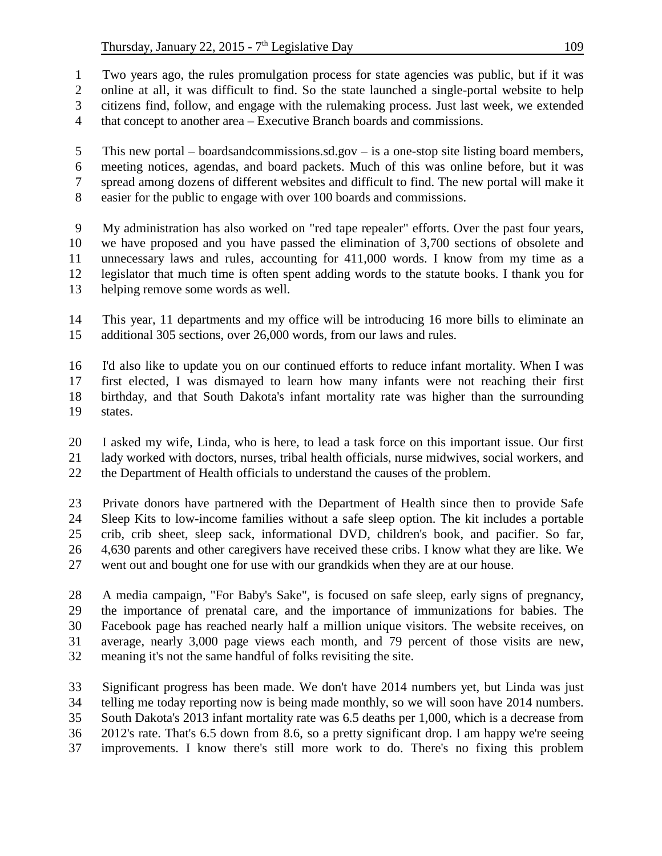Two years ago, the rules promulgation process for state agencies was public, but if it was

online at all, it was difficult to find. So the state launched a single-portal website to help

citizens find, follow, and engage with the rulemaking process. Just last week, we extended

that concept to another area – Executive Branch boards and commissions.

 This new portal – boardsandcommissions.sd.gov – is a one-stop site listing board members, meeting notices, agendas, and board packets. Much of this was online before, but it was spread among dozens of different websites and difficult to find. The new portal will make it easier for the public to engage with over 100 boards and commissions.

 My administration has also worked on "red tape repealer" efforts. Over the past four years, we have proposed and you have passed the elimination of 3,700 sections of obsolete and unnecessary laws and rules, accounting for 411,000 words. I know from my time as a legislator that much time is often spent adding words to the statute books. I thank you for helping remove some words as well.

 This year, 11 departments and my office will be introducing 16 more bills to eliminate an additional 305 sections, over 26,000 words, from our laws and rules.

 I'd also like to update you on our continued efforts to reduce infant mortality. When I was first elected, I was dismayed to learn how many infants were not reaching their first birthday, and that South Dakota's infant mortality rate was higher than the surrounding states.

 I asked my wife, Linda, who is here, to lead a task force on this important issue. Our first lady worked with doctors, nurses, tribal health officials, nurse midwives, social workers, and the Department of Health officials to understand the causes of the problem.

 Private donors have partnered with the Department of Health since then to provide Safe Sleep Kits to low-income families without a safe sleep option. The kit includes a portable crib, crib sheet, sleep sack, informational DVD, children's book, and pacifier. So far, 4,630 parents and other caregivers have received these cribs. I know what they are like. We went out and bought one for use with our grandkids when they are at our house.

 A media campaign, "For Baby's Sake", is focused on safe sleep, early signs of pregnancy, the importance of prenatal care, and the importance of immunizations for babies. The Facebook page has reached nearly half a million unique visitors. The website receives, on average, nearly 3,000 page views each month, and 79 percent of those visits are new, meaning it's not the same handful of folks revisiting the site.

 Significant progress has been made. We don't have 2014 numbers yet, but Linda was just telling me today reporting now is being made monthly, so we will soon have 2014 numbers. South Dakota's 2013 infant mortality rate was 6.5 deaths per 1,000, which is a decrease from 2012's rate. That's 6.5 down from 8.6, so a pretty significant drop. I am happy we're seeing improvements. I know there's still more work to do. There's no fixing this problem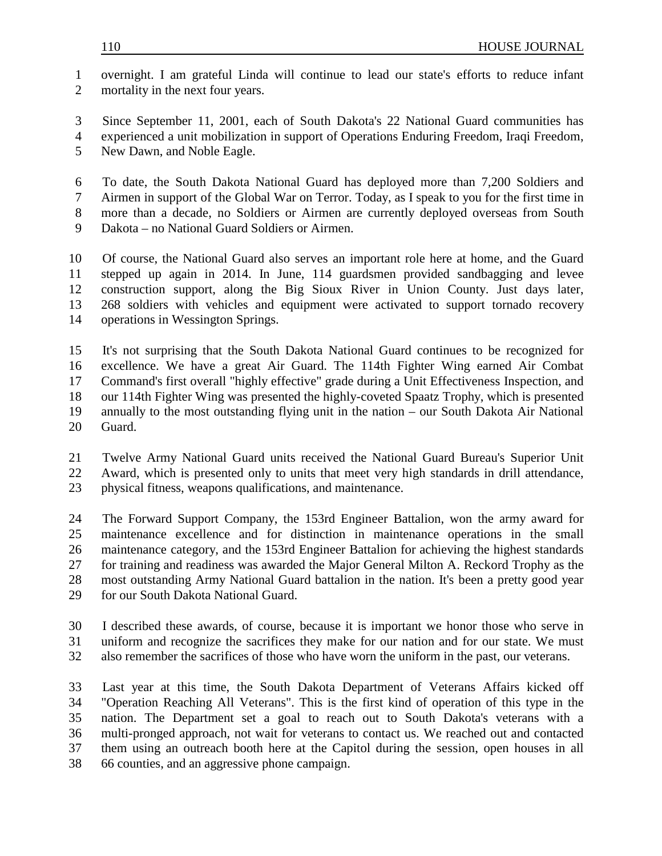overnight. I am grateful Linda will continue to lead our state's efforts to reduce infant mortality in the next four years.

Since September 11, 2001, each of South Dakota's 22 National Guard communities has

 experienced a unit mobilization in support of Operations Enduring Freedom, Iraqi Freedom, New Dawn, and Noble Eagle.

 To date, the South Dakota National Guard has deployed more than 7,200 Soldiers and Airmen in support of the Global War on Terror. Today, as I speak to you for the first time in more than a decade, no Soldiers or Airmen are currently deployed overseas from South

Dakota – no National Guard Soldiers or Airmen.

 Of course, the National Guard also serves an important role here at home, and the Guard stepped up again in 2014. In June, 114 guardsmen provided sandbagging and levee construction support, along the Big Sioux River in Union County. Just days later, 268 soldiers with vehicles and equipment were activated to support tornado recovery operations in Wessington Springs.

 It's not surprising that the South Dakota National Guard continues to be recognized for excellence. We have a great Air Guard. The 114th Fighter Wing earned Air Combat Command's first overall "highly effective" grade during a Unit Effectiveness Inspection, and our 114th Fighter Wing was presented the highly-coveted Spaatz Trophy, which is presented annually to the most outstanding flying unit in the nation – our South Dakota Air National Guard.

 Twelve Army National Guard units received the National Guard Bureau's Superior Unit Award, which is presented only to units that meet very high standards in drill attendance, physical fitness, weapons qualifications, and maintenance.

 The Forward Support Company, the 153rd Engineer Battalion, won the army award for maintenance excellence and for distinction in maintenance operations in the small maintenance category, and the 153rd Engineer Battalion for achieving the highest standards for training and readiness was awarded the Major General Milton A. Reckord Trophy as the most outstanding Army National Guard battalion in the nation. It's been a pretty good year 29 for our South Dakota National Guard.

 I described these awards, of course, because it is important we honor those who serve in uniform and recognize the sacrifices they make for our nation and for our state. We must also remember the sacrifices of those who have worn the uniform in the past, our veterans.

 Last year at this time, the South Dakota Department of Veterans Affairs kicked off "Operation Reaching All Veterans". This is the first kind of operation of this type in the nation. The Department set a goal to reach out to South Dakota's veterans with a multi-pronged approach, not wait for veterans to contact us. We reached out and contacted them using an outreach booth here at the Capitol during the session, open houses in all 66 counties, and an aggressive phone campaign.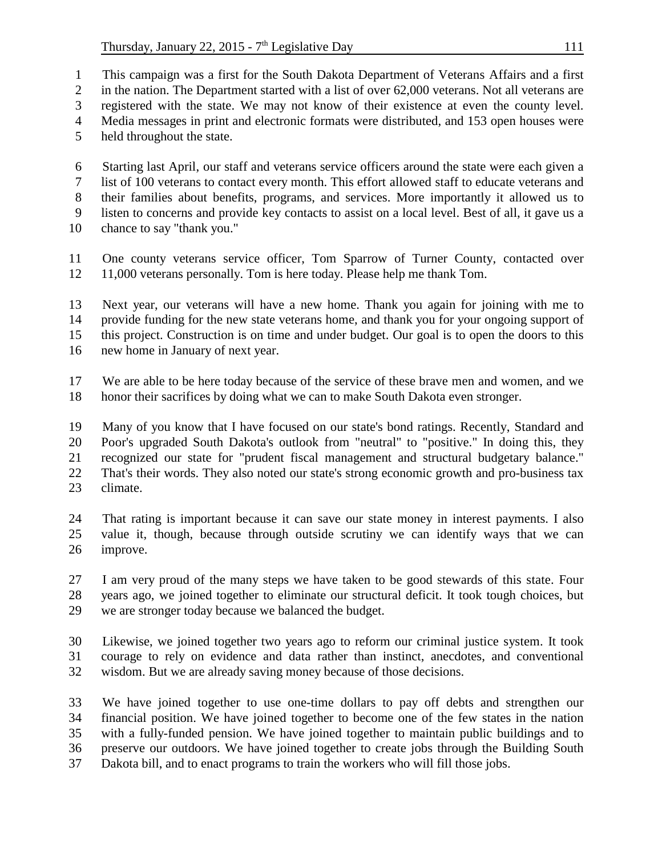This campaign was a first for the South Dakota Department of Veterans Affairs and a first 2 in the nation. The Department started with a list of over 62,000 veterans. Not all veterans are

registered with the state. We may not know of their existence at even the county level.

Media messages in print and electronic formats were distributed, and 153 open houses were

held throughout the state.

 Starting last April, our staff and veterans service officers around the state were each given a list of 100 veterans to contact every month. This effort allowed staff to educate veterans and their families about benefits, programs, and services. More importantly it allowed us to listen to concerns and provide key contacts to assist on a local level. Best of all, it gave us a

chance to say "thank you."

 One county veterans service officer, Tom Sparrow of Turner County, contacted over 11,000 veterans personally. Tom is here today. Please help me thank Tom.

 Next year, our veterans will have a new home. Thank you again for joining with me to provide funding for the new state veterans home, and thank you for your ongoing support of this project. Construction is on time and under budget. Our goal is to open the doors to this

new home in January of next year.

 We are able to be here today because of the service of these brave men and women, and we honor their sacrifices by doing what we can to make South Dakota even stronger.

 Many of you know that I have focused on our state's bond ratings. Recently, Standard and Poor's upgraded South Dakota's outlook from "neutral" to "positive." In doing this, they recognized our state for "prudent fiscal management and structural budgetary balance." That's their words. They also noted our state's strong economic growth and pro-business tax climate.

 That rating is important because it can save our state money in interest payments. I also value it, though, because through outside scrutiny we can identify ways that we can improve.

 I am very proud of the many steps we have taken to be good stewards of this state. Four years ago, we joined together to eliminate our structural deficit. It took tough choices, but we are stronger today because we balanced the budget.

 Likewise, we joined together two years ago to reform our criminal justice system. It took courage to rely on evidence and data rather than instinct, anecdotes, and conventional wisdom. But we are already saving money because of those decisions.

 We have joined together to use one-time dollars to pay off debts and strengthen our financial position. We have joined together to become one of the few states in the nation with a fully-funded pension. We have joined together to maintain public buildings and to preserve our outdoors. We have joined together to create jobs through the Building South Dakota bill, and to enact programs to train the workers who will fill those jobs.